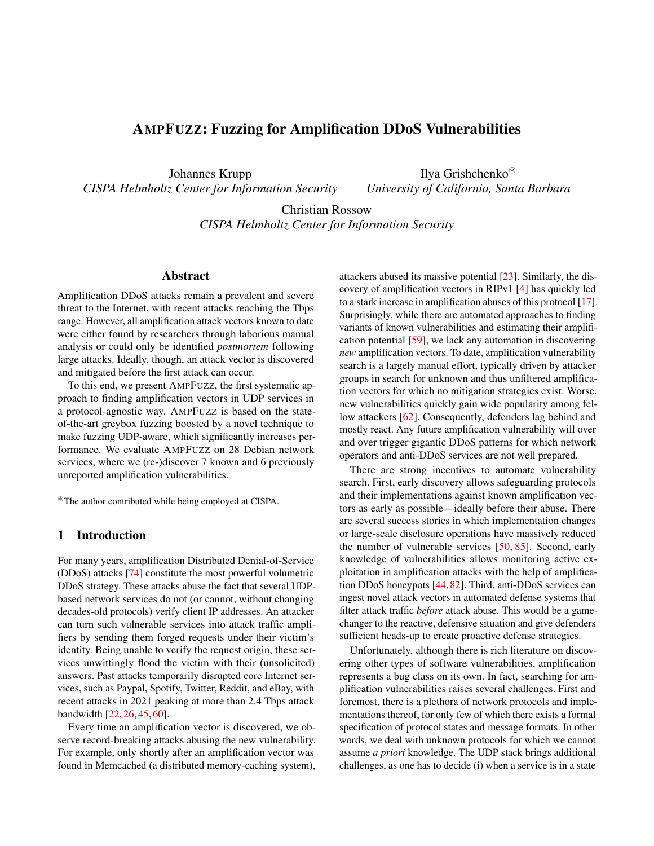# AMPFUZZ: Fuzzing for Amplification DDoS Vulnerabilities

Johannes Krupp *CISPA Helmholtz Center for Information Security*

Ilya Grishchenko<sup>⊛</sup> *University of California, Santa Barbara*

Christian Rossow *CISPA Helmholtz Center for Information Security*

# Abstract

Amplification DDoS attacks remain a prevalent and severe threat to the Internet, with recent attacks reaching the Tbps range. However, all amplification attack vectors known to date were either found by researchers through laborious manual analysis or could only be identified *postmortem* following large attacks. Ideally, though, an attack vector is discovered and mitigated before the first attack can occur.

To this end, we present AMPFUZZ, the first systematic approach to finding amplification vectors in UDP services in a protocol-agnostic way. AMPFUZZ is based on the stateof-the-art greybox fuzzing boosted by a novel technique to make fuzzing UDP-aware, which significantly increases performance. We evaluate AMPFUZZ on 28 Debian network services, where we (re-)discover 7 known and 6 previously unreported amplification vulnerabilities.

# 1 Introduction

For many years, amplification Distributed Denial-of-Service (DDoS) attacks [\[74\]](#page-16-0) constitute the most powerful volumetric DDoS strategy. These attacks abuse the fact that several UDPbased network services do not (or cannot, without changing decades-old protocols) verify client IP addresses. An attacker can turn such vulnerable services into attack traffic amplifiers by sending them forged requests under their victim's identity. Being unable to verify the request origin, these services unwittingly flood the victim with their (unsolicited) answers. Past attacks temporarily disrupted core Internet services, such as Paypal, Spotify, Twitter, Reddit, and eBay, with recent attacks in 2021 peaking at more than 2.4 Tbps attack bandwidth [\[22,](#page-13-0) [26,](#page-14-0) [45,](#page-15-0) [60\]](#page-15-1).

Every time an amplification vector is discovered, we observe record-breaking attacks abusing the new vulnerability. For example, only shortly after an amplification vector was found in Memcached (a distributed memory-caching system),

attackers abused its massive potential [\[23\]](#page-14-1). Similarly, the discovery of amplification vectors in RIPv1 [\[4\]](#page-13-1) has quickly led to a stark increase in amplification abuses of this protocol [\[17\]](#page-13-2). Surprisingly, while there are automated approaches to finding variants of known vulnerabilities and estimating their amplification potential [\[59\]](#page-15-2), we lack any automation in discovering *new* amplification vectors. To date, amplification vulnerability search is a largely manual effort, typically driven by attacker groups in search for unknown and thus unfiltered amplification vectors for which no mitigation strategies exist. Worse, new vulnerabilities quickly gain wide popularity among fel-low attackers [\[62\]](#page-16-1). Consequently, defenders lag behind and mostly react. Any future amplification vulnerability will over and over trigger gigantic DDoS patterns for which network operators and anti-DDoS services are not well prepared.

There are strong incentives to automate vulnerability search. First, early discovery allows safeguarding protocols and their implementations against known amplification vectors as early as possible—ideally before their abuse. There are several success stories in which implementation changes or large-scale disclosure operations have massively reduced the number of vulnerable services [\[50,](#page-15-3) [85\]](#page-17-0). Second, early knowledge of vulnerabilities allows monitoring active exploitation in amplification attacks with the help of amplification DDoS honeypots [\[44,](#page-15-4)[82\]](#page-16-2). Third, anti-DDoS services can ingest novel attack vectors in automated defense systems that filter attack traffic *before* attack abuse. This would be a gamechanger to the reactive, defensive situation and give defenders sufficient heads-up to create proactive defense strategies.

Unfortunately, although there is rich literature on discovering other types of software vulnerabilities, amplification represents a bug class on its own. In fact, searching for amplification vulnerabilities raises several challenges. First and foremost, there is a plethora of network protocols and implementations thereof, for only few of which there exists a formal specification of protocol states and message formats. In other words, we deal with unknown protocols for which we cannot assume *a priori* knowledge. The UDP stack brings additional challenges, as one has to decide (i) when a service is in a state

<sup>⊛</sup>The author contributed while being employed at CISPA.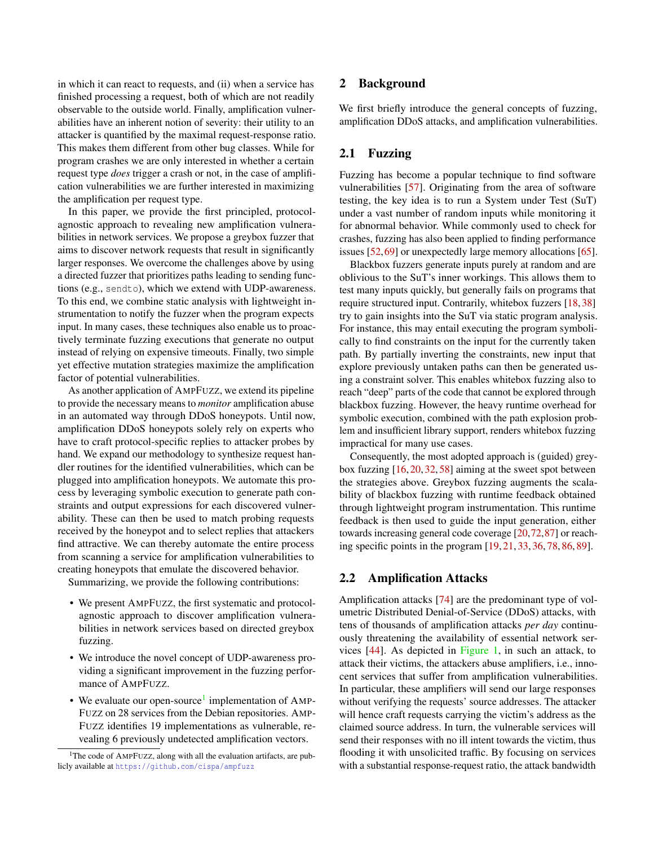in which it can react to requests, and (ii) when a service has finished processing a request, both of which are not readily observable to the outside world. Finally, amplification vulnerabilities have an inherent notion of severity: their utility to an attacker is quantified by the maximal request-response ratio. This makes them different from other bug classes. While for program crashes we are only interested in whether a certain request type *does* trigger a crash or not, in the case of amplification vulnerabilities we are further interested in maximizing the amplification per request type.

In this paper, we provide the first principled, protocolagnostic approach to revealing new amplification vulnerabilities in network services. We propose a greybox fuzzer that aims to discover network requests that result in significantly larger responses. We overcome the challenges above by using a directed fuzzer that prioritizes paths leading to sending functions (e.g., sendto), which we extend with UDP-awareness. To this end, we combine static analysis with lightweight instrumentation to notify the fuzzer when the program expects input. In many cases, these techniques also enable us to proactively terminate fuzzing executions that generate no output instead of relying on expensive timeouts. Finally, two simple yet effective mutation strategies maximize the amplification factor of potential vulnerabilities.

As another application of AMPFUZZ, we extend its pipeline to provide the necessary means to *monitor* amplification abuse in an automated way through DDoS honeypots. Until now, amplification DDoS honeypots solely rely on experts who have to craft protocol-specific replies to attacker probes by hand. We expand our methodology to synthesize request handler routines for the identified vulnerabilities, which can be plugged into amplification honeypots. We automate this process by leveraging symbolic execution to generate path constraints and output expressions for each discovered vulnerability. These can then be used to match probing requests received by the honeypot and to select replies that attackers find attractive. We can thereby automate the entire process from scanning a service for amplification vulnerabilities to creating honeypots that emulate the discovered behavior.

Summarizing, we provide the following contributions:

- We present AMPFUZZ, the first systematic and protocolagnostic approach to discover amplification vulnerabilities in network services based on directed greybox fuzzing.
- We introduce the novel concept of UDP-awareness providing a significant improvement in the fuzzing performance of AMPFUZZ.
- We evaluate our open-source<sup>[1](#page-1-0)</sup> implementation of AMP-FUZZ on 28 services from the Debian repositories. AMP-FUZZ identifies 19 implementations as vulnerable, revealing 6 previously undetected amplification vectors.

# 2 Background

We first briefly introduce the general concepts of fuzzing, amplification DDoS attacks, and amplification vulnerabilities.

# 2.1 Fuzzing

Fuzzing has become a popular technique to find software vulnerabilities [\[57\]](#page-15-5). Originating from the area of software testing, the key idea is to run a System under Test (SuT) under a vast number of random inputs while monitoring it for abnormal behavior. While commonly used to check for crashes, fuzzing has also been applied to finding performance issues [\[52,](#page-15-6)[69\]](#page-16-3) or unexpectedly large memory allocations [\[65\]](#page-16-4).

Blackbox fuzzers generate inputs purely at random and are oblivious to the SuT's inner workings. This allows them to test many inputs quickly, but generally fails on programs that require structured input. Contrarily, whitebox fuzzers [\[18,](#page-13-3) [38\]](#page-14-2) try to gain insights into the SuT via static program analysis. For instance, this may entail executing the program symbolically to find constraints on the input for the currently taken path. By partially inverting the constraints, new input that explore previously untaken paths can then be generated using a constraint solver. This enables whitebox fuzzing also to reach "deep" parts of the code that cannot be explored through blackbox fuzzing. However, the heavy runtime overhead for symbolic execution, combined with the path explosion problem and insufficient library support, renders whitebox fuzzing impractical for many use cases.

Consequently, the most adopted approach is (guided) greybox fuzzing [\[16,](#page-13-4) [20,](#page-13-5) [32,](#page-14-3) [58\]](#page-15-7) aiming at the sweet spot between the strategies above. Greybox fuzzing augments the scalability of blackbox fuzzing with runtime feedback obtained through lightweight program instrumentation. This runtime feedback is then used to guide the input generation, either towards increasing general code coverage [\[20,](#page-13-5)[72,](#page-16-5)[87\]](#page-17-1) or reaching specific points in the program [\[19,](#page-13-6) [21,](#page-13-7) [33,](#page-14-4) [36,](#page-14-5) [78,](#page-16-6) [86,](#page-17-2) [89\]](#page-17-3).

### 2.2 Amplification Attacks

Amplification attacks [\[74\]](#page-16-0) are the predominant type of volumetric Distributed Denial-of-Service (DDoS) attacks, with tens of thousands of amplification attacks *per day* continuously threatening the availability of essential network services [\[44\]](#page-15-4). As depicted in [Figure 1,](#page-2-0) in such an attack, to attack their victims, the attackers abuse amplifiers, i.e., innocent services that suffer from amplification vulnerabilities. In particular, these amplifiers will send our large responses without verifying the requests' source addresses. The attacker will hence craft requests carrying the victim's address as the claimed source address. In turn, the vulnerable services will send their responses with no ill intent towards the victim, thus flooding it with unsolicited traffic. By focusing on services with a substantial response-request ratio, the attack bandwidth

<span id="page-1-0"></span><sup>&</sup>lt;sup>1</sup>The code of AMPFUZZ, along with all the evaluation artifacts, are publicly available at <https://github.com/cispa/ampfuzz>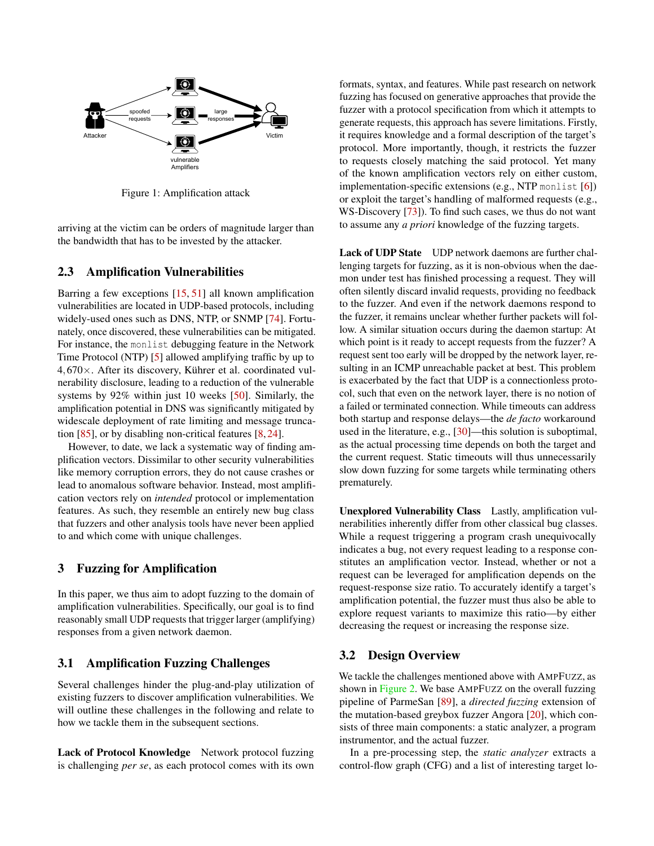

<span id="page-2-0"></span>Figure 1: Amplification attack

arriving at the victim can be orders of magnitude larger than the bandwidth that has to be invested by the attacker.

#### 2.3 Amplification Vulnerabilities

Barring a few exceptions [\[15,](#page-13-8) [51\]](#page-15-8) all known amplification vulnerabilities are located in UDP-based protocols, including widely-used ones such as DNS, NTP, or SNMP [\[74\]](#page-16-0). Fortunately, once discovered, these vulnerabilities can be mitigated. For instance, the monlist debugging feature in the Network Time Protocol (NTP) [\[5\]](#page-13-9) allowed amplifying traffic by up to 4,670×. After its discovery, Kührer et al. coordinated vulnerability disclosure, leading to a reduction of the vulnerable systems by 92% within just 10 weeks [\[50\]](#page-15-3). Similarly, the amplification potential in DNS was significantly mitigated by widescale deployment of rate limiting and message truncation [\[85\]](#page-17-0), or by disabling non-critical features [\[8,](#page-13-10) [24\]](#page-14-6).

However, to date, we lack a systematic way of finding amplification vectors. Dissimilar to other security vulnerabilities like memory corruption errors, they do not cause crashes or lead to anomalous software behavior. Instead, most amplification vectors rely on *intended* protocol or implementation features. As such, they resemble an entirely new bug class that fuzzers and other analysis tools have never been applied to and which come with unique challenges.

#### 3 Fuzzing for Amplification

In this paper, we thus aim to adopt fuzzing to the domain of amplification vulnerabilities. Specifically, our goal is to find reasonably small UDP requests that trigger larger (amplifying) responses from a given network daemon.

# 3.1 Amplification Fuzzing Challenges

Several challenges hinder the plug-and-play utilization of existing fuzzers to discover amplification vulnerabilities. We will outline these challenges in the following and relate to how we tackle them in the subsequent sections.

Lack of Protocol Knowledge Network protocol fuzzing is challenging *per se*, as each protocol comes with its own

formats, syntax, and features. While past research on network fuzzing has focused on generative approaches that provide the fuzzer with a protocol specification from which it attempts to generate requests, this approach has severe limitations. Firstly, it requires knowledge and a formal description of the target's protocol. More importantly, though, it restricts the fuzzer to requests closely matching the said protocol. Yet many of the known amplification vectors rely on either custom, implementation-specific extensions (e.g., NTP monlist [\[6\]](#page-13-11)) or exploit the target's handling of malformed requests (e.g., WS-Discovery [\[73\]](#page-16-7)). To find such cases, we thus do not want to assume any *a priori* knowledge of the fuzzing targets.

Lack of UDP State UDP network daemons are further challenging targets for fuzzing, as it is non-obvious when the daemon under test has finished processing a request. They will often silently discard invalid requests, providing no feedback to the fuzzer. And even if the network daemons respond to the fuzzer, it remains unclear whether further packets will follow. A similar situation occurs during the daemon startup: At which point is it ready to accept requests from the fuzzer? A request sent too early will be dropped by the network layer, resulting in an ICMP unreachable packet at best. This problem is exacerbated by the fact that UDP is a connectionless protocol, such that even on the network layer, there is no notion of a failed or terminated connection. While timeouts can address both startup and response delays—the *de facto* workaround used in the literature, e.g., [\[30\]](#page-14-7)—this solution is suboptimal, as the actual processing time depends on both the target and the current request. Static timeouts will thus unnecessarily slow down fuzzing for some targets while terminating others prematurely.

Unexplored Vulnerability Class Lastly, amplification vulnerabilities inherently differ from other classical bug classes. While a request triggering a program crash unequivocally indicates a bug, not every request leading to a response constitutes an amplification vector. Instead, whether or not a request can be leveraged for amplification depends on the request-response size ratio. To accurately identify a target's amplification potential, the fuzzer must thus also be able to explore request variants to maximize this ratio—by either decreasing the request or increasing the response size.

#### 3.2 Design Overview

We tackle the challenges mentioned above with AMPFUZZ, as shown in [Figure 2.](#page-3-0) We base AMPFUZZ on the overall fuzzing pipeline of ParmeSan [\[89\]](#page-17-3), a *directed fuzzing* extension of the mutation-based greybox fuzzer Angora [\[20\]](#page-13-5), which consists of three main components: a static analyzer, a program instrumentor, and the actual fuzzer.

In a pre-processing step, the *static analyzer* extracts a control-flow graph (CFG) and a list of interesting target lo-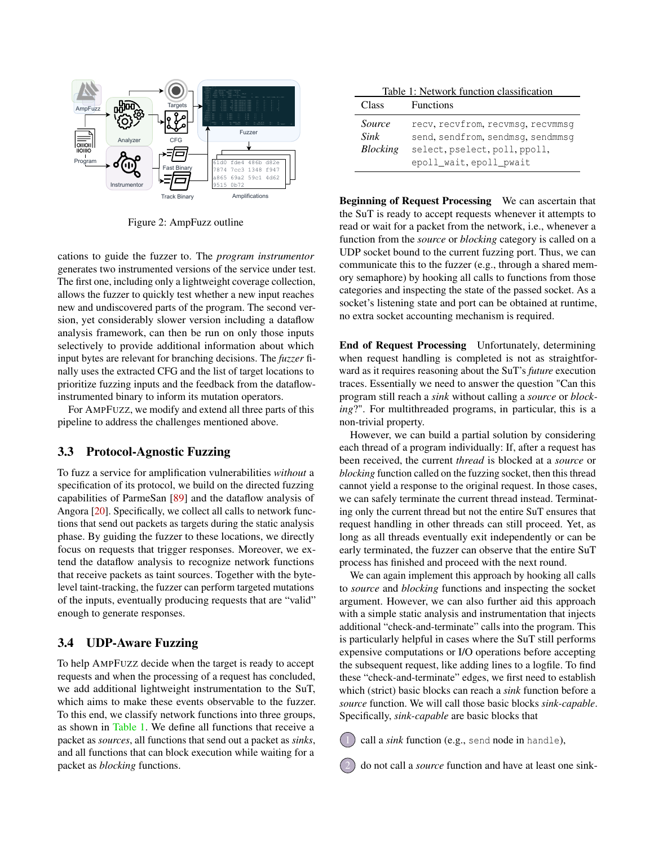

<span id="page-3-0"></span>Figure 2: AmpFuzz outline

cations to guide the fuzzer to. The *program instrumentor* generates two instrumented versions of the service under test. The first one, including only a lightweight coverage collection, allows the fuzzer to quickly test whether a new input reaches new and undiscovered parts of the program. The second version, yet considerably slower version including a dataflow analysis framework, can then be run on only those inputs selectively to provide additional information about which input bytes are relevant for branching decisions. The *fuzzer* finally uses the extracted CFG and the list of target locations to prioritize fuzzing inputs and the feedback from the dataflowinstrumented binary to inform its mutation operators.

For AMPFUZZ, we modify and extend all three parts of this pipeline to address the challenges mentioned above.

# 3.3 Protocol-Agnostic Fuzzing

To fuzz a service for amplification vulnerabilities *without* a specification of its protocol, we build on the directed fuzzing capabilities of ParmeSan [\[89\]](#page-17-3) and the dataflow analysis of Angora [\[20\]](#page-13-5). Specifically, we collect all calls to network functions that send out packets as targets during the static analysis phase. By guiding the fuzzer to these locations, we directly focus on requests that trigger responses. Moreover, we extend the dataflow analysis to recognize network functions that receive packets as taint sources. Together with the bytelevel taint-tracking, the fuzzer can perform targeted mutations of the inputs, eventually producing requests that are "valid" enough to generate responses.

# <span id="page-3-2"></span>3.4 UDP-Aware Fuzzing

To help AMPFUZZ decide when the target is ready to accept requests and when the processing of a request has concluded, we add additional lightweight instrumentation to the SuT, which aims to make these events observable to the fuzzer. To this end, we classify network functions into three groups, as shown in [Table 1.](#page-3-1) We define all functions that receive a packet as *sources*, all functions that send out a packet as *sinks*, and all functions that can block execution while waiting for a packet as *blocking* functions.

<span id="page-3-1"></span>

| Table 1: Network function classification |                                   |  |  |  |
|------------------------------------------|-----------------------------------|--|--|--|
| Class                                    | <b>Functions</b>                  |  |  |  |
| Source                                   | recv, recvfrom, recvmsq, recvmmsq |  |  |  |
| Sink                                     | send, sendfrom, sendmsg, sendmmsg |  |  |  |
| <b>Blocking</b>                          | select, pselect, poll, ppoll,     |  |  |  |
|                                          | epoll wait, epoll pwait           |  |  |  |

Beginning of Request Processing We can ascertain that the SuT is ready to accept requests whenever it attempts to read or wait for a packet from the network, i.e., whenever a function from the *source* or *blocking* category is called on a UDP socket bound to the current fuzzing port. Thus, we can communicate this to the fuzzer (e.g., through a shared memory semaphore) by hooking all calls to functions from those categories and inspecting the state of the passed socket. As a socket's listening state and port can be obtained at runtime, no extra socket accounting mechanism is required.

End of Request Processing Unfortunately, determining when request handling is completed is not as straightforward as it requires reasoning about the SuT's *future* execution traces. Essentially we need to answer the question "Can this program still reach a *sink* without calling a *source* or *blocking*?". For multithreaded programs, in particular, this is a non-trivial property.

However, we can build a partial solution by considering each thread of a program individually: If, after a request has been received, the current *thread* is blocked at a *source* or *blocking* function called on the fuzzing socket, then this thread cannot yield a response to the original request. In those cases, we can safely terminate the current thread instead. Terminating only the current thread but not the entire SuT ensures that request handling in other threads can still proceed. Yet, as long as all threads eventually exit independently or can be early terminated, the fuzzer can observe that the entire SuT process has finished and proceed with the next round.

We can again implement this approach by hooking all calls to *source* and *blocking* functions and inspecting the socket argument. However, we can also further aid this approach with a simple static analysis and instrumentation that injects additional "check-and-terminate" calls into the program. This is particularly helpful in cases where the SuT still performs expensive computations or I/O operations before accepting the subsequent request, like adding lines to a logfile. To find these "check-and-terminate" edges, we first need to establish which (strict) basic blocks can reach a *sink* function before a *source* function. We will call those basic blocks *sink-capable*. Specifically, *sink-capable* are basic blocks that

call a *sink* function (e.g., send node in handle),

2 do not call a *source* function and have at least one sink-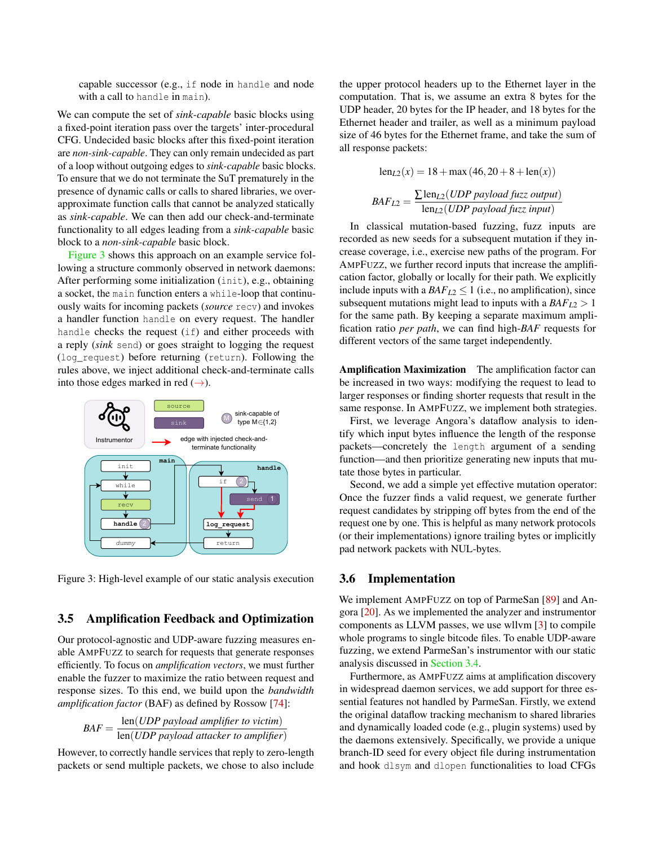capable successor (e.g., if node in handle and node with a call to handle in main).

We can compute the set of *sink-capable* basic blocks using a fixed-point iteration pass over the targets' inter-procedural CFG. Undecided basic blocks after this fixed-point iteration are *non-sink-capable*. They can only remain undecided as part of a loop without outgoing edges to *sink-capable* basic blocks. To ensure that we do not terminate the SuT prematurely in the presence of dynamic calls or calls to shared libraries, we overapproximate function calls that cannot be analyzed statically as *sink-capable*. We can then add our check-and-terminate functionality to all edges leading from a *sink-capable* basic block to a *non-sink-capable* basic block.

[Figure 3](#page-4-0) shows this approach on an example service following a structure commonly observed in network daemons: After performing some initialization (init), e.g., obtaining a socket, the main function enters a while-loop that continuously waits for incoming packets (*source* recv) and invokes a handler function handle on every request. The handler handle checks the request (if) and either proceeds with a reply (*sink* send) or goes straight to logging the request (log\_request) before returning (return). Following the rules above, we inject additional check-and-terminate calls into those edges marked in red  $(\rightarrow)$ .



<span id="page-4-0"></span>Figure 3: High-level example of our static analysis execution

#### <span id="page-4-1"></span>3.5 Amplification Feedback and Optimization

Our protocol-agnostic and UDP-aware fuzzing measures enable AMPFUZZ to search for requests that generate responses efficiently. To focus on *amplification vectors*, we must further enable the fuzzer to maximize the ratio between request and response sizes. To this end, we build upon the *bandwidth amplification factor* (BAF) as defined by Rossow [\[74\]](#page-16-0):

$$
BAF = \frac{\text{len}(UDP \text{ payload amplifier to victim})}{\text{len}(UDP \text{ payload attacker to amplifier})}
$$

However, to correctly handle services that reply to zero-length packets or send multiple packets, we chose to also include the upper protocol headers up to the Ethernet layer in the computation. That is, we assume an extra 8 bytes for the UDP header, 20 bytes for the IP header, and 18 bytes for the Ethernet header and trailer, as well as a minimum payload size of 46 bytes for the Ethernet frame, and take the sum of all response packets:

$$
len_{L2}(x) = 18 + max (46, 20 + 8 + len(x))
$$

$$
BAF_{L2} = \frac{\sum len_{L2}(UDP \text{ payload fuzzy output})}{len_{L2}(UDP \text{ payload fuzzy input})}
$$

In classical mutation-based fuzzing, fuzz inputs are recorded as new seeds for a subsequent mutation if they increase coverage, i.e., exercise new paths of the program. For AMPFUZZ, we further record inputs that increase the amplification factor, globally or locally for their path. We explicitly include inputs with a  $BAF_{L2} \leq 1$  (i.e., no amplification), since subsequent mutations might lead to inputs with a  $BAF_{L2} > 1$ for the same path. By keeping a separate maximum amplification ratio *per path*, we can find high-*BAF* requests for different vectors of the same target independently.

Amplification Maximization The amplification factor can be increased in two ways: modifying the request to lead to larger responses or finding shorter requests that result in the same response. In AMPFUZZ, we implement both strategies.

First, we leverage Angora's dataflow analysis to identify which input bytes influence the length of the response packets—concretely the length argument of a sending function—and then prioritize generating new inputs that mutate those bytes in particular.

Second, we add a simple yet effective mutation operator: Once the fuzzer finds a valid request, we generate further request candidates by stripping off bytes from the end of the request one by one. This is helpful as many network protocols (or their implementations) ignore trailing bytes or implicitly pad network packets with NUL-bytes.

### 3.6 Implementation

We implement AMPFUZZ on top of ParmeSan [\[89\]](#page-17-3) and Angora [\[20\]](#page-13-5). As we implemented the analyzer and instrumentor components as LLVM passes, we use wllvm [\[3\]](#page-13-12) to compile whole programs to single bitcode files. To enable UDP-aware fuzzing, we extend ParmeSan's instrumentor with our static analysis discussed in [Section 3.4.](#page-3-2)

Furthermore, as AMPFUZZ aims at amplification discovery in widespread daemon services, we add support for three essential features not handled by ParmeSan. Firstly, we extend the original dataflow tracking mechanism to shared libraries and dynamically loaded code (e.g., plugin systems) used by the daemons extensively. Specifically, we provide a unique branch-ID seed for every object file during instrumentation and hook dlsym and dlopen functionalities to load CFGs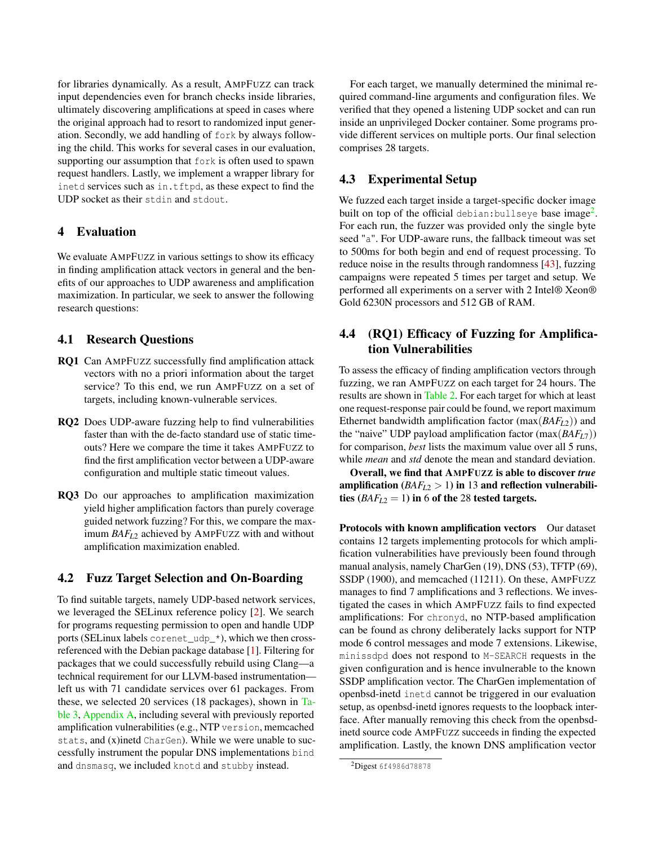for libraries dynamically. As a result, AMPFUZZ can track input dependencies even for branch checks inside libraries, ultimately discovering amplifications at speed in cases where the original approach had to resort to randomized input generation. Secondly, we add handling of fork by always following the child. This works for several cases in our evaluation, supporting our assumption that fork is often used to spawn request handlers. Lastly, we implement a wrapper library for inetd services such as in.tftpd, as these expect to find the UDP socket as their stdin and stdout.

## <span id="page-5-2"></span>4 Evaluation

We evaluate AMPFUZZ in various settings to show its efficacy in finding amplification attack vectors in general and the benefits of our approaches to UDP awareness and amplification maximization. In particular, we seek to answer the following research questions:

# 4.1 Research Questions

- RQ1 Can AMPFUZZ successfully find amplification attack vectors with no a priori information about the target service? To this end, we run AMPFUZZ on a set of targets, including known-vulnerable services.
- RQ2 Does UDP-aware fuzzing help to find vulnerabilities faster than with the de-facto standard use of static timeouts? Here we compare the time it takes AMPFUZZ to find the first amplification vector between a UDP-aware configuration and multiple static timeout values.
- RQ3 Do our approaches to amplification maximization yield higher amplification factors than purely coverage guided network fuzzing? For this, we compare the maximum *BAFL*<sup>2</sup> achieved by AMPFUZZ with and without amplification maximization enabled.

## <span id="page-5-1"></span>4.2 Fuzz Target Selection and On-Boarding

To find suitable targets, namely UDP-based network services, we leveraged the SELinux reference policy [\[2\]](#page-13-13). We search for programs requesting permission to open and handle UDP ports (SELinux labels corenet\_udp\_\*), which we then crossreferenced with the Debian package database [\[1\]](#page-13-14). Filtering for packages that we could successfully rebuild using Clang—a technical requirement for our LLVM-based instrumentation left us with 71 candidate services over 61 packages. From these, we selected 20 services (18 packages), shown in [Ta](#page-17-4)[ble 3,](#page-17-4) [Appendix A,](#page-17-5) including several with previously reported amplification vulnerabilities (e.g., NTP version, memcached stats, and (x)inetd CharGen). While we were unable to successfully instrument the popular DNS implementations bind and dnsmasq, we included knotd and stubby instead.

For each target, we manually determined the minimal required command-line arguments and configuration files. We verified that they opened a listening UDP socket and can run inside an unprivileged Docker container. Some programs provide different services on multiple ports. Our final selection comprises 28 targets.

# 4.3 Experimental Setup

We fuzzed each target inside a target-specific docker image built on top of the official debian:bullseye base image<sup>[2](#page-5-0)</sup>. For each run, the fuzzer was provided only the single byte seed "a". For UDP-aware runs, the fallback timeout was set to 500ms for both begin and end of request processing. To reduce noise in the results through randomness [\[43\]](#page-15-9), fuzzing campaigns were repeated 5 times per target and setup. We performed all experiments on a server with 2 Intel® Xeon® Gold 6230N processors and 512 GB of RAM.

# 4.4 (RQ1) Efficacy of Fuzzing for Amplification Vulnerabilities

To assess the efficacy of finding amplification vectors through fuzzing, we ran AMPFUZZ on each target for 24 hours. The results are shown in [Table 2.](#page-6-0) For each target for which at least one request-response pair could be found, we report maximum Ethernet bandwidth amplification factor (max(*BAFL*2)) and the "naive" UDP payload amplification factor (max(*BAFL*7)) for comparison, *best* lists the maximum value over all 5 runs, while *mean* and *std* denote the mean and standard deviation.

Overall, we find that AMPFUZZ is able to discover *true* amplification  $(BAF<sub>L2</sub> > 1)$  in 13 and reflection vulnerabilities  $(BAF<sub>L2</sub> = 1)$  in 6 of the 28 tested targets.

Protocols with known amplification vectors Our dataset contains 12 targets implementing protocols for which amplification vulnerabilities have previously been found through manual analysis, namely CharGen (19), DNS (53), TFTP (69), SSDP (1900), and memcached (11211). On these, AMPFUZZ manages to find 7 amplifications and 3 reflections. We investigated the cases in which AMPFUZZ fails to find expected amplifications: For chronyd, no NTP-based amplification can be found as chrony deliberately lacks support for NTP mode 6 control messages and mode 7 extensions. Likewise, minissdpd does not respond to M-SEARCH requests in the given configuration and is hence invulnerable to the known SSDP amplification vector. The CharGen implementation of openbsd-inetd inetd cannot be triggered in our evaluation setup, as openbsd-inetd ignores requests to the loopback interface. After manually removing this check from the openbsdinetd source code AMPFUZZ succeeds in finding the expected amplification. Lastly, the known DNS amplification vector

<span id="page-5-0"></span><sup>2</sup>Digest 6f4986d78878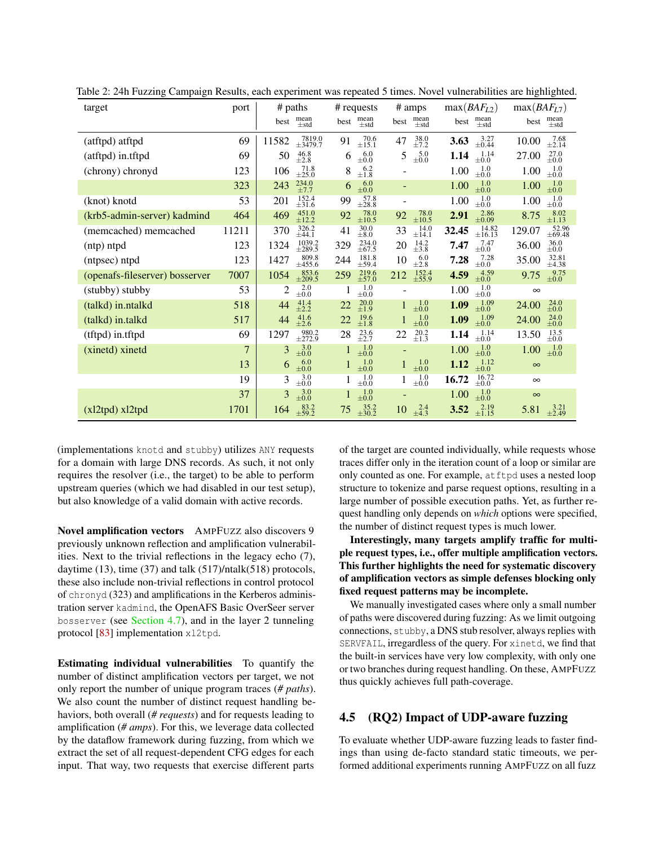| target                         | port  | # paths                                  | # requests                                           | # amps                                      | max(BAF <sub>L2</sub> )            | max(BAF <sub>L7</sub> )                                 |
|--------------------------------|-------|------------------------------------------|------------------------------------------------------|---------------------------------------------|------------------------------------|---------------------------------------------------------|
|                                |       | $mean$ $\pm$ std<br>best                 | $mean$ $\pm$ std<br>best                             | $mean$ ±std<br>best                         | $mean$ $\pm$ std<br>best           | $mean$ $\pm$ std<br>best                                |
| (atftpd) atftpd                | 69    | $7819.0$<br>$\pm 3479.7$<br>11582        | $^{70.6}_{\pm 15.1}$<br>91                           | $38.0$<br>$\pm 7.2$<br>47                   | $3.27 \pm 0.44$<br>3.63            | $7.68$<br>$\pm 2.14$<br>10.00                           |
| (atftpd) in.tftpd              | 69    | $^{46.8}_{\pm 2.8}$<br>50                | $^{6.0}_{\pm0.0}$<br>6                               | $5.0 \\pm 0.0$<br>5                         | $^{1.14}_{\pm 0.0}$<br>1.14        | $^{27.0}_{\pm 0.0}$<br>27.00                            |
| (chrony) chronyd               | 123   | $^{71.8}_{\pm 25.0}$<br>106              | $^{6.2}_{\pm 1.8}$<br>8                              |                                             | $^{1.0}_{\pm 0.0}$<br>1.00         | $\substack{1.0 \\ \pm 0.0}$<br>1.00                     |
|                                | 323   | $234.0$<br>$\pm 7.7$<br>243              | $^{6.0}_{\pm 0.0}$<br>6                              |                                             | $^{1.0}_{\pm 0.0}$<br>1.00         | $^{1.0}_{\pm 0.0}$<br>1.00                              |
| (knot) knotd                   | 53    | $152.4$<br>$\pm 31.6$<br>201             | $57.8$<br>$\pm 28.8$<br>99                           |                                             | $^{1.0}_{\pm 0.0}$<br>1.00         | $^{1.0}_{\pm 0.0}$<br>1.00                              |
| (krb5-admin-server) kadmind    | 464   | $451.0$<br>$\pm 12.2$<br>469             | $^{78.0}_{\pm 10.5}$<br>92                           | $^{78.0}_{\pm 10.5}$<br>92                  | $^{2.86}_{\pm 0.09}$<br>2.91       | $\begin{array}{c} 8.02 \\ \pm 1.13 \end{array}$<br>8.75 |
| (memcached) memcached          | 11211 | $326.2$<br>$\pm 44.1$<br>370             | $\begin{array}{c} 30.0 \\ \pm 8.0 \end{array}$<br>41 | $^{14.0}_{\pm 14.1}$<br>33                  | $\frac{14.82}{\pm 16.13}$<br>32.45 | $52.96$<br>$\pm 69.48$<br>129.07                        |
| (ntp) ntpd                     | 123   | $\substack{1039.2 \\ \pm 289.5}$<br>1324 | $234.0$<br>$\pm 67.5$<br>329                         | $^{14.2}_{\pm 3.8}$<br>20                   | $7.47$<br>$\pm 0.0$<br>7.47        | $_{\pm0.0}^{36.0}$<br>36.00                             |
| (ntpsec) ntpd                  | 123   | $809.8$<br>±455.6<br>1427                | $181.8$<br>$\pm 59.4$<br>244                         | $6.0 \pm 2.8$<br>10                         | $^{7.28}_{\pm 0.0}$<br>7.28        | $32.81$<br>$\pm 4.38$<br>35.00                          |
| (openafs-fileserver) bosserver | 7007  | $853.6$<br>$\pm 209.5$<br>1054           | $^{219.6}_{\pm 57.0}$<br>259                         | $152.4$<br>$\pm 55.9$<br>212                | $^{+4.59}_{\pm0.0}$<br>4.59        | $^{9.75}_{\pm0.0}$<br>9.75                              |
| (stubby) stubby                | 53    | $^{2.0}_{\pm 0.0}$<br>$\overline{c}$     | 1.0<br>$\pm 0.0$                                     |                                             | $^{1.0}_{\pm 0.0}$<br>1.00         | $\infty$                                                |
| (talkd) in.ntalkd              | 518   | $41.4$<br>$\pm 2.2$<br>44                | $^{20.0}_{\pm1.9}$<br>22                             | $^{1.0}_{\pm 0.0}$                          | $^{1.09}_{\pm 0.0}$<br>1.09        | $^{24.0}_{\pm0.0}$<br>24.00                             |
| (talkd) in.talkd               | 517   | $41.6$<br>$\pm 2.6$<br>44                | $19.6$<br>$\pm 1.8$<br>22                            | $\substack{1.0 \\ \pm 0.0}$                 | $^{1.09}_{\pm 0.0}$<br>1.09        | $^{24.0}_{\pm 0.0}$<br>24.00                            |
| (tftpd) in.tftpd               | 69    | $\frac{980.2}{\pm 272.9}$<br>1297        | $^{23.6}_{\pm 2.7}$<br>28                            | $^{20.2}_{\pm 1.3}$<br>22                   | $^{1.14}_{\pm 0.0}$<br>1.14        | $\substack{13.5 \\ \pm 0.0}$<br>13.50                   |
| (xinetd) xinetd                | 7     | $^{3.0}_{\pm 0.0}$<br>3                  | 1.0<br>$\pm 0.0$                                     |                                             | $^{1.0}_{\pm 0.0}$<br>1.00         | $\substack{1.0 \\ \pm 0.0}$<br>1.00                     |
|                                | 13    | 6.0<br>6<br>$\pm 0.0$                    | $\substack{1.0 \\ \pm 0.0}$                          | $\substack{1.0 \\ \pm 0.0}$<br>$\mathbf{1}$ | $^{1.12}_{\pm 0.0}$<br>1.12        | $\infty$                                                |
|                                | 19    | 3.0<br>3<br>$\pm 0.0$                    | $^{1.0}_{\pm 0.0}$                                   | $^{1.0}_{\pm 0.0}$                          | $^{16.72}_{\pm 0.0}$<br>16.72      | $\infty$                                                |
|                                | 37    | $\substack{3.0 \\ \pm 0.0}$<br>3         | $\substack{1.0 \\ \pm 0.0}$                          | ٠                                           | $^{1.0}_{\pm 0.0}$<br>1.00         | $\infty$                                                |
| $(x12tpd)$ x $12tpd$           | 1701  | $83.2$<br>$\pm 59.2$<br>164              | $35.2$<br>$\pm 30.2$<br>75                           | $^{2.4}_{\pm 4.3}$<br>10                    | $2.19$<br>$\pm 1.15$<br>3.52       | $3.21$<br>$\pm 2.49$<br>5.81                            |

<span id="page-6-0"></span>Table 2: 24h Fuzzing Campaign Results, each experiment was repeated 5 times. Novel vulnerabilities are highlighted.

(implementations knotd and stubby) utilizes ANY requests for a domain with large DNS records. As such, it not only requires the resolver (i.e., the target) to be able to perform upstream queries (which we had disabled in our test setup), but also knowledge of a valid domain with active records.

Novel amplification vectors AMPFUZZ also discovers 9 previously unknown reflection and amplification vulnerabilities. Next to the trivial reflections in the legacy echo (7), daytime  $(13)$ , time  $(37)$  and talk  $(517)/n$ talk $(518)$  protocols, these also include non-trivial reflections in control protocol of chronyd (323) and amplifications in the Kerberos administration server kadmind, the OpenAFS Basic OverSeer server bosserver (see [Section 4.7\)](#page-7-0), and in the layer 2 tunneling protocol [\[83\]](#page-17-6) implementation xl2tpd.

<span id="page-6-1"></span>Estimating individual vulnerabilities To quantify the number of distinct amplification vectors per target, we not only report the number of unique program traces (*# paths*). We also count the number of distinct request handling behaviors, both overall (*# requests*) and for requests leading to amplification (*# amps*). For this, we leverage data collected by the dataflow framework during fuzzing, from which we extract the set of all request-dependent CFG edges for each input. That way, two requests that exercise different parts

of the target are counted individually, while requests whose traces differ only in the iteration count of a loop or similar are only counted as one. For example, atftpd uses a nested loop structure to tokenize and parse request options, resulting in a large number of possible execution paths. Yet, as further request handling only depends on *which* options were specified, the number of distinct request types is much lower.

Interestingly, many targets amplify traffic for multiple request types, i.e., offer multiple amplification vectors. This further highlights the need for systematic discovery of amplification vectors as simple defenses blocking only fixed request patterns may be incomplete.

We manually investigated cases where only a small number of paths were discovered during fuzzing: As we limit outgoing connections, stubby, a DNS stub resolver, always replies with SERVFAIL, irregardless of the query. For xinetd, we find that the built-in services have very low complexity, with only one or two branches during request handling. On these, AMPFUZZ thus quickly achieves full path-coverage.

# 4.5 (RQ2) Impact of UDP-aware fuzzing

To evaluate whether UDP-aware fuzzing leads to faster findings than using de-facto standard static timeouts, we performed additional experiments running AMPFUZZ on all fuzz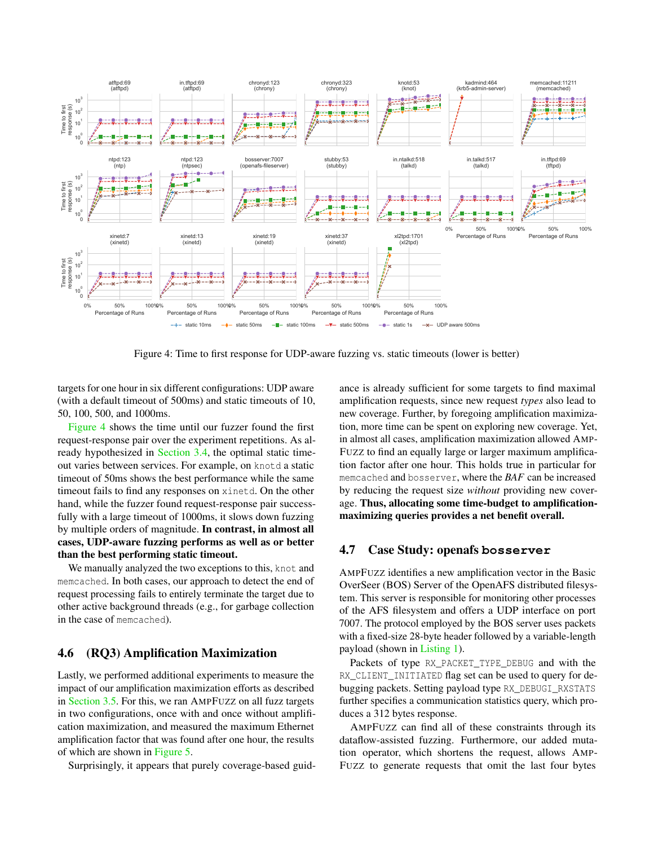

<span id="page-7-1"></span>Figure 4: Time to first response for UDP-aware fuzzing vs. static timeouts (lower is better)

targets for one hour in six different configurations: UDP aware (with a default timeout of 500ms) and static timeouts of 10, 50, 100, 500, and 1000ms.

[Figure 4](#page-7-1) shows the time until our fuzzer found the first request-response pair over the experiment repetitions. As already hypothesized in [Section 3.4,](#page-3-2) the optimal static timeout varies between services. For example, on knotd a static timeout of 50ms shows the best performance while the same timeout fails to find any responses on xinetd. On the other hand, while the fuzzer found request-response pair successfully with a large timeout of 1000ms, it slows down fuzzing by multiple orders of magnitude. In contrast, in almost all cases, UDP-aware fuzzing performs as well as or better than the best performing static timeout.

We manually analyzed the two exceptions to this, knot and memcached. In both cases, our approach to detect the end of request processing fails to entirely terminate the target due to other active background threads (e.g., for garbage collection in the case of memcached).

## 4.6 (RQ3) Amplification Maximization

Lastly, we performed additional experiments to measure the impact of our amplification maximization efforts as described in [Section 3.5.](#page-4-1) For this, we ran AMPFUZZ on all fuzz targets in two configurations, once with and once without amplification maximization, and measured the maximum Ethernet amplification factor that was found after one hour, the results of which are shown in [Figure 5.](#page-8-0)

Surprisingly, it appears that purely coverage-based guid-

ance is already sufficient for some targets to find maximal amplification requests, since new request *types* also lead to new coverage. Further, by foregoing amplification maximization, more time can be spent on exploring new coverage. Yet, in almost all cases, amplification maximization allowed AMP-FUZZ to find an equally large or larger maximum amplification factor after one hour. This holds true in particular for memcached and bosserver, where the *BAF* can be increased by reducing the request size *without* providing new coverage. Thus, allocating some time-budget to amplificationmaximizing queries provides a net benefit overall.

### <span id="page-7-0"></span>4.7 Case Study: openafs **bosserver**

AMPFUZZ identifies a new amplification vector in the Basic OverSeer (BOS) Server of the OpenAFS distributed filesystem. This server is responsible for monitoring other processes of the AFS filesystem and offers a UDP interface on port 7007. The protocol employed by the BOS server uses packets with a fixed-size 28-byte header followed by a variable-length payload (shown in [Listing 1\)](#page-8-1).

Packets of type RX\_PACKET\_TYPE\_DEBUG and with the RX\_CLIENT\_INITIATED flag set can be used to query for debugging packets. Setting payload type RX\_DEBUGI\_RXSTATS further specifies a communication statistics query, which produces a 312 bytes response.

AMPFUZZ can find all of these constraints through its dataflow-assisted fuzzing. Furthermore, our added mutation operator, which shortens the request, allows AMP-FUZZ to generate requests that omit the last four bytes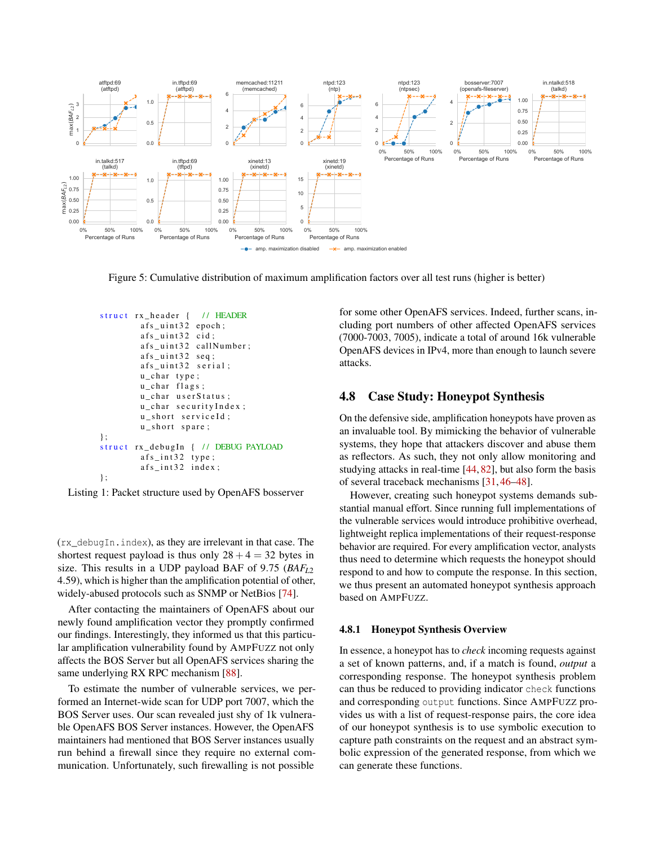

<span id="page-8-0"></span>Figure 5: Cumulative distribution of maximum amplification factors over all test runs (higher is better)

```
struct rx header \{ // HEADER
        afs_uint32 epoch;
        afs_uint32 cid;
        afs_uint32 callNumber;
        afs_uint32 \text{ seq};afs_uint32 serial;
        u_char type;
        u_char flags;
        u_char userStatus;
        u_char securityIndex;
        u_short serviceId;
        u_short spare;
} ;
struct rx_debugIn { // DEBUG PAYLOAD
        afs_1nt32 type;afs_int32 index;
} ;
```


(rx\_debugIn.index), as they are irrelevant in that case. The shortest request payload is thus only  $28 + 4 = 32$  bytes in size. This results in a UDP payload BAF of 9.75 (*BAFL*<sup>2</sup> 4.59), which is higher than the amplification potential of other, widely-abused protocols such as SNMP or NetBios [\[74\]](#page-16-0).

After contacting the maintainers of OpenAFS about our newly found amplification vector they promptly confirmed our findings. Interestingly, they informed us that this particular amplification vulnerability found by AMPFUZZ not only affects the BOS Server but all OpenAFS services sharing the same underlying RX RPC mechanism [\[88\]](#page-17-7).

To estimate the number of vulnerable services, we performed an Internet-wide scan for UDP port 7007, which the BOS Server uses. Our scan revealed just shy of 1k vulnerable OpenAFS BOS Server instances. However, the OpenAFS maintainers had mentioned that BOS Server instances usually run behind a firewall since they require no external communication. Unfortunately, such firewalling is not possible

for some other OpenAFS services. Indeed, further scans, including port numbers of other affected OpenAFS services (7000-7003, 7005), indicate a total of around 16k vulnerable OpenAFS devices in IPv4, more than enough to launch severe attacks.

# 4.8 Case Study: Honeypot Synthesis

On the defensive side, amplification honeypots have proven as an invaluable tool. By mimicking the behavior of vulnerable systems, they hope that attackers discover and abuse them as reflectors. As such, they not only allow monitoring and studying attacks in real-time [\[44,](#page-15-4) [82\]](#page-16-2), but also form the basis of several traceback mechanisms [\[31,](#page-14-8) [46](#page-15-10)[–48\]](#page-15-11).

However, creating such honeypot systems demands substantial manual effort. Since running full implementations of the vulnerable services would introduce prohibitive overhead, lightweight replica implementations of their request-response behavior are required. For every amplification vector, analysts thus need to determine which requests the honeypot should respond to and how to compute the response. In this section, we thus present an automated honeypot synthesis approach based on AMPFUZZ.

#### 4.8.1 Honeypot Synthesis Overview

In essence, a honeypot has to *check* incoming requests against a set of known patterns, and, if a match is found, *output* a corresponding response. The honeypot synthesis problem can thus be reduced to providing indicator check functions and corresponding output functions. Since AMPFUZZ provides us with a list of request-response pairs, the core idea of our honeypot synthesis is to use symbolic execution to capture path constraints on the request and an abstract symbolic expression of the generated response, from which we can generate these functions.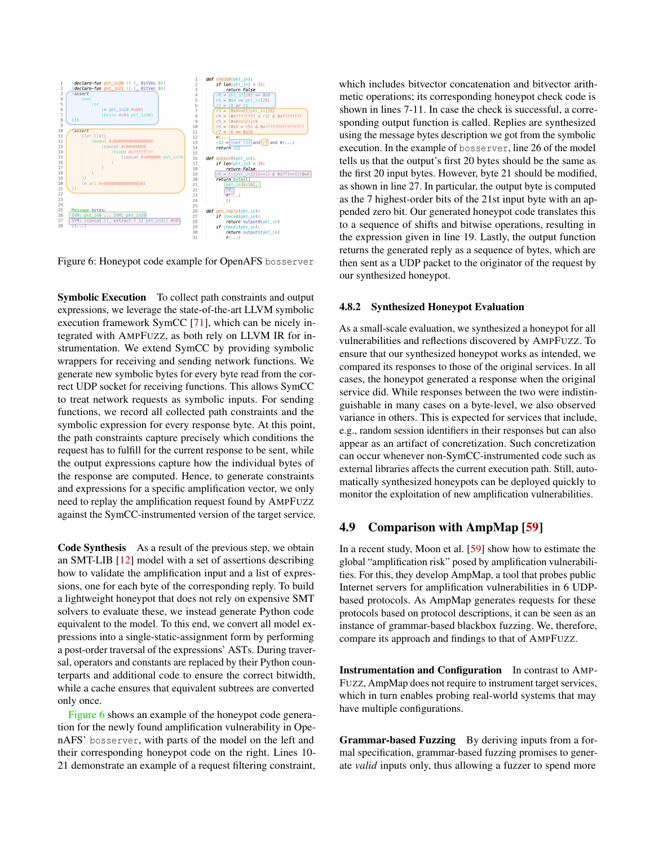

<span id="page-9-0"></span>Figure 6: Honeypot code example for OpenAFS bosserver

Symbolic Execution To collect path constraints and output expressions, we leverage the state-of-the-art LLVM symbolic execution framework SymCC [\[71\]](#page-16-8), which can be nicely integrated with AMPFUZZ, as both rely on LLVM IR for instrumentation. We extend SymCC by providing symbolic wrappers for receiving and sending network functions. We generate new symbolic bytes for every byte read from the correct UDP socket for receiving functions. This allows SymCC to treat network requests as symbolic inputs. For sending functions, we record all collected path constraints and the symbolic expression for every response byte. At this point, the path constraints capture precisely which conditions the request has to fulfill for the current response to be sent, while the output expressions capture how the individual bytes of the response are computed. Hence, to generate constraints and expressions for a specific amplification vector, we only need to replay the amplification request found by AMPFUZZ against the SymCC-instrumented version of the target service.

Code Synthesis As a result of the previous step, we obtain an SMT-LIB [\[12\]](#page-13-15) model with a set of assertions describing how to validate the amplification input and a list of expressions, one for each byte of the corresponding reply. To build a lightweight honeypot that does not rely on expensive SMT solvers to evaluate these, we instead generate Python code equivalent to the model. To this end, we convert all model expressions into a single-static-assignment form by performing a post-order traversal of the expressions' ASTs. During traversal, operators and constants are replaced by their Python counterparts and additional code to ensure the correct bitwidth, while a cache ensures that equivalent subtrees are converted only once.

[Figure 6](#page-9-0) shows an example of the honeypot code generation for the newly found amplification vulnerability in OpenAFS' bosserver, with parts of the model on the left and their corresponding honeypot code on the right. Lines 10- 21 demonstrate an example of a request filtering constraint, which includes bitvector concatenation and bitvector arithmetic operations; its corresponding honeypot check code is shown in lines 7-11. In case the check is successful, a corresponding output function is called. Replies are synthesized using the message bytes description we got from the symbolic execution. In the example of bosserver, line 26 of the model tells us that the output's first 20 bytes should be the same as the first 20 input bytes. However, byte 21 should be modified, as shown in line 27. In particular, the output byte is computed as the 7 highest-order bits of the 21st input byte with an appended zero bit. Our generated honeypot code translates this to a sequence of shifts and bitwise operations, resulting in the expression given in line 19. Lastly, the output function returns the generated reply as a sequence of bytes, which are then sent as a UDP packet to the originator of the request by our synthesized honeypot.

#### 4.8.2 Synthesized Honeypot Evaluation

As a small-scale evaluation, we synthesized a honeypot for all vulnerabilities and reflections discovered by AMPFUZZ. To ensure that our synthesized honeypot works as intended, we compared its responses to those of the original services. In all cases, the honeypot generated a response when the original service did. While responses between the two were indistinguishable in many cases on a byte-level, we also observed variance in others. This is expected for services that include, e.g., random session identifiers in their responses but can also appear as an artifact of concretization. Such concretization can occur whenever non-SymCC-instrumented code such as external libraries affects the current execution path. Still, automatically synthesized honeypots can be deployed quickly to monitor the exploitation of new amplification vulnerabilities.

# 4.9 Comparison with AmpMap [\[59\]](#page-15-2)

In a recent study, Moon et al. [\[59\]](#page-15-2) show how to estimate the global "amplification risk" posed by amplification vulnerabilities. For this, they develop AmpMap, a tool that probes public Internet servers for amplification vulnerabilities in 6 UDPbased protocols. As AmpMap generates requests for these protocols based on protocol descriptions, it can be seen as an instance of grammar-based blackbox fuzzing. We, therefore, compare its approach and findings to that of AMPFUZZ.

Instrumentation and Configuration In contrast to AMP-FUZZ, AmpMap does not require to instrument target services, which in turn enables probing real-world systems that may have multiple configurations.

Grammar-based Fuzzing By deriving inputs from a formal specification, grammar-based fuzzing promises to generate *valid* inputs only, thus allowing a fuzzer to spend more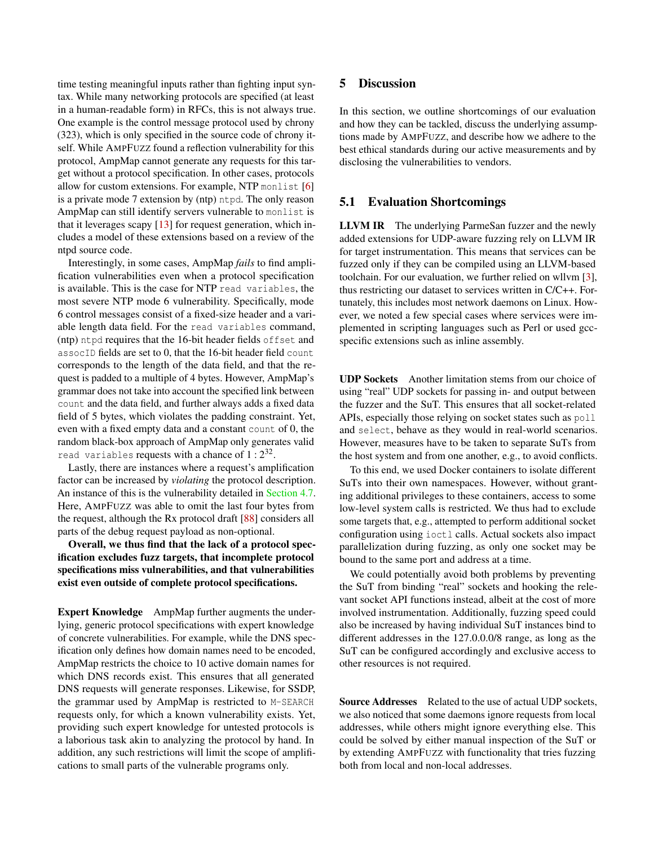time testing meaningful inputs rather than fighting input syntax. While many networking protocols are specified (at least in a human-readable form) in RFCs, this is not always true. One example is the control message protocol used by chrony (323), which is only specified in the source code of chrony itself. While AMPFUZZ found a reflection vulnerability for this protocol, AmpMap cannot generate any requests for this target without a protocol specification. In other cases, protocols allow for custom extensions. For example, NTP monlist [\[6\]](#page-13-11) is a private mode 7 extension by (ntp) ntpd. The only reason AmpMap can still identify servers vulnerable to monlist is that it leverages scapy  $[13]$  for request generation, which includes a model of these extensions based on a review of the ntpd source code.

Interestingly, in some cases, AmpMap *fails* to find amplification vulnerabilities even when a protocol specification is available. This is the case for NTP read variables, the most severe NTP mode 6 vulnerability. Specifically, mode 6 control messages consist of a fixed-size header and a variable length data field. For the read variables command, (ntp) ntpd requires that the 16-bit header fields offset and assocID fields are set to 0, that the 16-bit header field count corresponds to the length of the data field, and that the request is padded to a multiple of 4 bytes. However, AmpMap's grammar does not take into account the specified link between count and the data field, and further always adds a fixed data field of 5 bytes, which violates the padding constraint. Yet, even with a fixed empty data and a constant count of 0, the random black-box approach of AmpMap only generates valid read variables requests with a chance of  $1:2^{32}$ .

Lastly, there are instances where a request's amplification factor can be increased by *violating* the protocol description. An instance of this is the vulnerability detailed in [Section 4.7.](#page-7-0) Here, AMPFUZZ was able to omit the last four bytes from the request, although the Rx protocol draft [\[88\]](#page-17-7) considers all parts of the debug request payload as non-optional.

Overall, we thus find that the lack of a protocol specification excludes fuzz targets, that incomplete protocol specifications miss vulnerabilities, and that vulnerabilities exist even outside of complete protocol specifications.

Expert Knowledge AmpMap further augments the underlying, generic protocol specifications with expert knowledge of concrete vulnerabilities. For example, while the DNS specification only defines how domain names need to be encoded, AmpMap restricts the choice to 10 active domain names for which DNS records exist. This ensures that all generated DNS requests will generate responses. Likewise, for SSDP, the grammar used by AmpMap is restricted to M-SEARCH requests only, for which a known vulnerability exists. Yet, providing such expert knowledge for untested protocols is a laborious task akin to analyzing the protocol by hand. In addition, any such restrictions will limit the scope of amplifications to small parts of the vulnerable programs only.

# 5 Discussion

In this section, we outline shortcomings of our evaluation and how they can be tackled, discuss the underlying assumptions made by AMPFUZZ, and describe how we adhere to the best ethical standards during our active measurements and by disclosing the vulnerabilities to vendors.

#### 5.1 Evaluation Shortcomings

LLVM IR The underlying ParmeSan fuzzer and the newly added extensions for UDP-aware fuzzing rely on LLVM IR for target instrumentation. This means that services can be fuzzed only if they can be compiled using an LLVM-based toolchain. For our evaluation, we further relied on wllvm [\[3\]](#page-13-12), thus restricting our dataset to services written in C/C++. Fortunately, this includes most network daemons on Linux. However, we noted a few special cases where services were implemented in scripting languages such as Perl or used gccspecific extensions such as inline assembly.

UDP Sockets Another limitation stems from our choice of using "real" UDP sockets for passing in- and output between the fuzzer and the SuT. This ensures that all socket-related APIs, especially those relying on socket states such as poll and select, behave as they would in real-world scenarios. However, measures have to be taken to separate SuTs from the host system and from one another, e.g., to avoid conflicts.

To this end, we used Docker containers to isolate different SuTs into their own namespaces. However, without granting additional privileges to these containers, access to some low-level system calls is restricted. We thus had to exclude some targets that, e.g., attempted to perform additional socket configuration using ioctl calls. Actual sockets also impact parallelization during fuzzing, as only one socket may be bound to the same port and address at a time.

We could potentially avoid both problems by preventing the SuT from binding "real" sockets and hooking the relevant socket API functions instead, albeit at the cost of more involved instrumentation. Additionally, fuzzing speed could also be increased by having individual SuT instances bind to different addresses in the 127.0.0.0/8 range, as long as the SuT can be configured accordingly and exclusive access to other resources is not required.

Source Addresses Related to the use of actual UDP sockets, we also noticed that some daemons ignore requests from local addresses, while others might ignore everything else. This could be solved by either manual inspection of the SuT or by extending AMPFUZZ with functionality that tries fuzzing both from local and non-local addresses.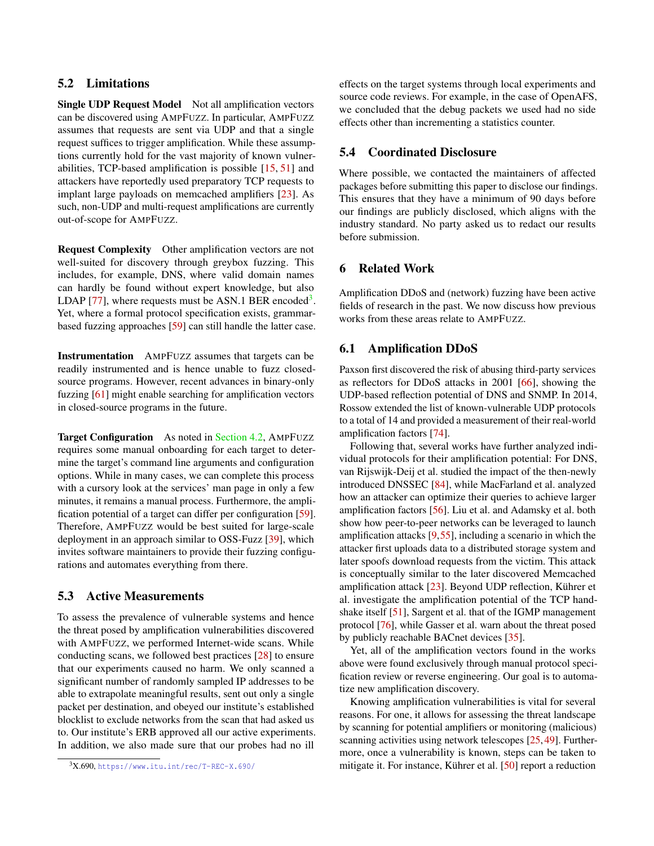# 5.2 Limitations

Single UDP Request Model Not all amplification vectors can be discovered using AMPFUZZ. In particular, AMPFUZZ assumes that requests are sent via UDP and that a single request suffices to trigger amplification. While these assumptions currently hold for the vast majority of known vulnerabilities, TCP-based amplification is possible [\[15,](#page-13-8) [51\]](#page-15-8) and attackers have reportedly used preparatory TCP requests to implant large payloads on memcached amplifiers [\[23\]](#page-14-1). As such, non-UDP and multi-request amplifications are currently out-of-scope for AMPFUZZ.

Request Complexity Other amplification vectors are not well-suited for discovery through greybox fuzzing. This includes, for example, DNS, where valid domain names can hardly be found without expert knowledge, but also LDAP [\[77\]](#page-16-9), where requests must be ASN.1 BER encoded<sup>[3](#page-11-0)</sup>. Yet, where a formal protocol specification exists, grammarbased fuzzing approaches [\[59\]](#page-15-2) can still handle the latter case.

Instrumentation AMPFUZZ assumes that targets can be readily instrumented and is hence unable to fuzz closedsource programs. However, recent advances in binary-only fuzzing [\[61\]](#page-15-12) might enable searching for amplification vectors in closed-source programs in the future.

Target Configuration As noted in [Section 4.2,](#page-5-1) AMPFUZZ requires some manual onboarding for each target to determine the target's command line arguments and configuration options. While in many cases, we can complete this process with a cursory look at the services' man page in only a few minutes, it remains a manual process. Furthermore, the amplification potential of a target can differ per configuration [\[59\]](#page-15-2). Therefore, AMPFUZZ would be best suited for large-scale deployment in an approach similar to OSS-Fuzz [\[39\]](#page-14-9), which invites software maintainers to provide their fuzzing configurations and automates everything from there.

### 5.3 Active Measurements

To assess the prevalence of vulnerable systems and hence the threat posed by amplification vulnerabilities discovered with AMPFUZZ, we performed Internet-wide scans. While conducting scans, we followed best practices [\[28\]](#page-14-10) to ensure that our experiments caused no harm. We only scanned a significant number of randomly sampled IP addresses to be able to extrapolate meaningful results, sent out only a single packet per destination, and obeyed our institute's established blocklist to exclude networks from the scan that had asked us to. Our institute's ERB approved all our active experiments. In addition, we also made sure that our probes had no ill

effects on the target systems through local experiments and source code reviews. For example, in the case of OpenAFS, we concluded that the debug packets we used had no side effects other than incrementing a statistics counter.

# 5.4 Coordinated Disclosure

Where possible, we contacted the maintainers of affected packages before submitting this paper to disclose our findings. This ensures that they have a minimum of 90 days before our findings are publicly disclosed, which aligns with the industry standard. No party asked us to redact our results before submission.

#### 6 Related Work

Amplification DDoS and (network) fuzzing have been active fields of research in the past. We now discuss how previous works from these areas relate to AMPFUZZ.

#### 6.1 Amplification DDoS

Paxson first discovered the risk of abusing third-party services as reflectors for DDoS attacks in 2001 [\[66\]](#page-16-10), showing the UDP-based reflection potential of DNS and SNMP. In 2014, Rossow extended the list of known-vulnerable UDP protocols to a total of 14 and provided a measurement of their real-world amplification factors [\[74\]](#page-16-0).

Following that, several works have further analyzed individual protocols for their amplification potential: For DNS, van Rijswijk-Deij et al. studied the impact of the then-newly introduced DNSSEC [\[84\]](#page-17-8), while MacFarland et al. analyzed how an attacker can optimize their queries to achieve larger amplification factors [\[56\]](#page-15-13). Liu et al. and Adamsky et al. both show how peer-to-peer networks can be leveraged to launch amplification attacks [\[9,](#page-13-17)[55\]](#page-15-14), including a scenario in which the attacker first uploads data to a distributed storage system and later spoofs download requests from the victim. This attack is conceptually similar to the later discovered Memcached amplification attack [\[23\]](#page-14-1). Beyond UDP reflection, Kührer et al. investigate the amplification potential of the TCP handshake itself [\[51\]](#page-15-8), Sargent et al. that of the IGMP management protocol [\[76\]](#page-16-11), while Gasser et al. warn about the threat posed by publicly reachable BACnet devices [\[35\]](#page-14-11).

Yet, all of the amplification vectors found in the works above were found exclusively through manual protocol specification review or reverse engineering. Our goal is to automatize new amplification discovery.

Knowing amplification vulnerabilities is vital for several reasons. For one, it allows for assessing the threat landscape by scanning for potential amplifiers or monitoring (malicious) scanning activities using network telescopes [\[25,](#page-14-12) [49\]](#page-15-15). Furthermore, once a vulnerability is known, steps can be taken to mitigate it. For instance, Kührer et al. [\[50\]](#page-15-3) report a reduction

<span id="page-11-0"></span> $3X.690$ , <https://www.itu.int/rec/T-REC-X.690/>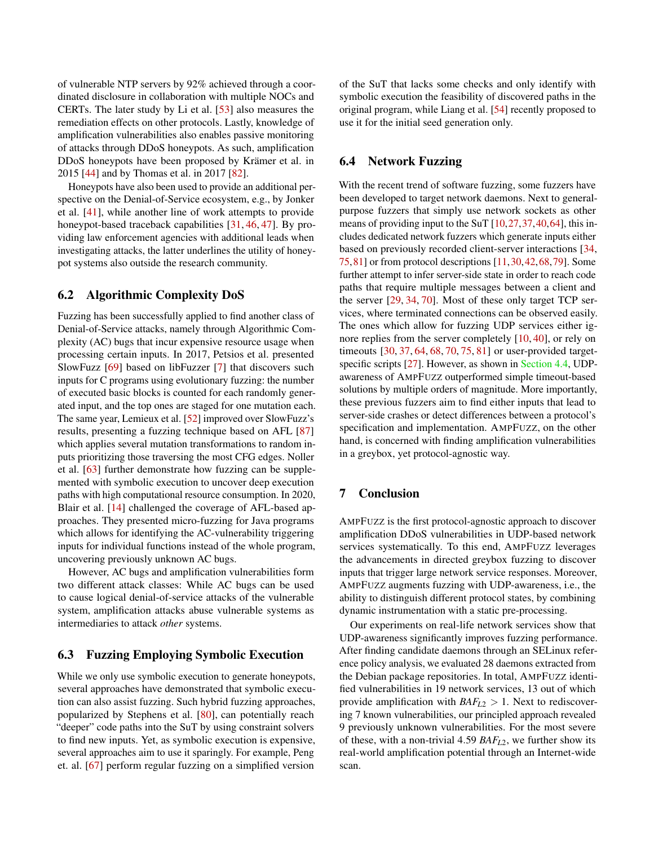of vulnerable NTP servers by 92% achieved through a coordinated disclosure in collaboration with multiple NOCs and CERTs. The later study by Li et al. [\[53\]](#page-15-16) also measures the remediation effects on other protocols. Lastly, knowledge of amplification vulnerabilities also enables passive monitoring of attacks through DDoS honeypots. As such, amplification DDoS honeypots have been proposed by Krämer et al. in 2015 [\[44\]](#page-15-4) and by Thomas et al. in 2017 [\[82\]](#page-16-2).

Honeypots have also been used to provide an additional perspective on the Denial-of-Service ecosystem, e.g., by Jonker et al. [\[41\]](#page-14-13), while another line of work attempts to provide honeypot-based traceback capabilities [\[31,](#page-14-8) [46,](#page-15-10) [47\]](#page-15-17). By providing law enforcement agencies with additional leads when investigating attacks, the latter underlines the utility of honeypot systems also outside the research community.

#### 6.2 Algorithmic Complexity DoS

Fuzzing has been successfully applied to find another class of Denial-of-Service attacks, namely through Algorithmic Complexity (AC) bugs that incur expensive resource usage when processing certain inputs. In 2017, Petsios et al. presented SlowFuzz [\[69\]](#page-16-3) based on libFuzzer [\[7\]](#page-13-18) that discovers such inputs for C programs using evolutionary fuzzing: the number of executed basic blocks is counted for each randomly generated input, and the top ones are staged for one mutation each. The same year, Lemieux et al. [\[52\]](#page-15-6) improved over SlowFuzz's results, presenting a fuzzing technique based on AFL [\[87\]](#page-17-1) which applies several mutation transformations to random inputs prioritizing those traversing the most CFG edges. Noller et al. [\[63\]](#page-16-12) further demonstrate how fuzzing can be supplemented with symbolic execution to uncover deep execution paths with high computational resource consumption. In 2020, Blair et al. [\[14\]](#page-13-19) challenged the coverage of AFL-based approaches. They presented micro-fuzzing for Java programs which allows for identifying the AC-vulnerability triggering inputs for individual functions instead of the whole program, uncovering previously unknown AC bugs.

However, AC bugs and amplification vulnerabilities form two different attack classes: While AC bugs can be used to cause logical denial-of-service attacks of the vulnerable system, amplification attacks abuse vulnerable systems as intermediaries to attack *other* systems.

### 6.3 Fuzzing Employing Symbolic Execution

While we only use symbolic execution to generate honeypots, several approaches have demonstrated that symbolic execution can also assist fuzzing. Such hybrid fuzzing approaches, popularized by Stephens et al. [\[80\]](#page-16-13), can potentially reach "deeper" code paths into the SuT by using constraint solvers to find new inputs. Yet, as symbolic execution is expensive, several approaches aim to use it sparingly. For example, Peng et. al. [\[67\]](#page-16-14) perform regular fuzzing on a simplified version

of the SuT that lacks some checks and only identify with symbolic execution the feasibility of discovered paths in the original program, while Liang et al. [\[54\]](#page-15-18) recently proposed to use it for the initial seed generation only.

## 6.4 Network Fuzzing

With the recent trend of software fuzzing, some fuzzers have been developed to target network daemons. Next to generalpurpose fuzzers that simply use network sockets as other means of providing input to the SuT [\[10,](#page-13-20)[27,](#page-14-14)[37,](#page-14-15)[40,](#page-14-16)[64\]](#page-16-15), this includes dedicated network fuzzers which generate inputs either based on previously recorded client-server interactions [\[34,](#page-14-17) [75,](#page-16-16)[81\]](#page-16-17) or from protocol descriptions [\[11,](#page-13-21)[30,](#page-14-7)[42,](#page-14-18)[68,](#page-16-18)[79\]](#page-16-19). Some further attempt to infer server-side state in order to reach code paths that require multiple messages between a client and the server [\[29,](#page-14-19) [34,](#page-14-17) [70\]](#page-16-20). Most of these only target TCP services, where terminated connections can be observed easily. The ones which allow for fuzzing UDP services either ignore replies from the server completely [\[10,](#page-13-20) [40\]](#page-14-16), or rely on timeouts [\[30,](#page-14-7) [37,](#page-14-15) [64,](#page-16-15) [68,](#page-16-18) [70,](#page-16-20) [75,](#page-16-16) [81\]](#page-16-17) or user-provided target-specific scripts [\[27\]](#page-14-14). However, as shown in [Section 4.4,](#page-6-1) UDPawareness of AMPFUZZ outperformed simple timeout-based solutions by multiple orders of magnitude. More importantly, these previous fuzzers aim to find either inputs that lead to server-side crashes or detect differences between a protocol's specification and implementation. AMPFUZZ, on the other hand, is concerned with finding amplification vulnerabilities in a greybox, yet protocol-agnostic way.

# 7 Conclusion

AMPFUZZ is the first protocol-agnostic approach to discover amplification DDoS vulnerabilities in UDP-based network services systematically. To this end, AMPFUZZ leverages the advancements in directed greybox fuzzing to discover inputs that trigger large network service responses. Moreover, AMPFUZZ augments fuzzing with UDP-awareness, i.e., the ability to distinguish different protocol states, by combining dynamic instrumentation with a static pre-processing.

Our experiments on real-life network services show that UDP-awareness significantly improves fuzzing performance. After finding candidate daemons through an SELinux reference policy analysis, we evaluated 28 daemons extracted from the Debian package repositories. In total, AMPFUZZ identified vulnerabilities in 19 network services, 13 out of which provide amplification with  $BAF_{L2} > 1$ . Next to rediscovering 7 known vulnerabilities, our principled approach revealed 9 previously unknown vulnerabilities. For the most severe of these, with a non-trivial 4.59 *BAFL*2, we further show its real-world amplification potential through an Internet-wide scan.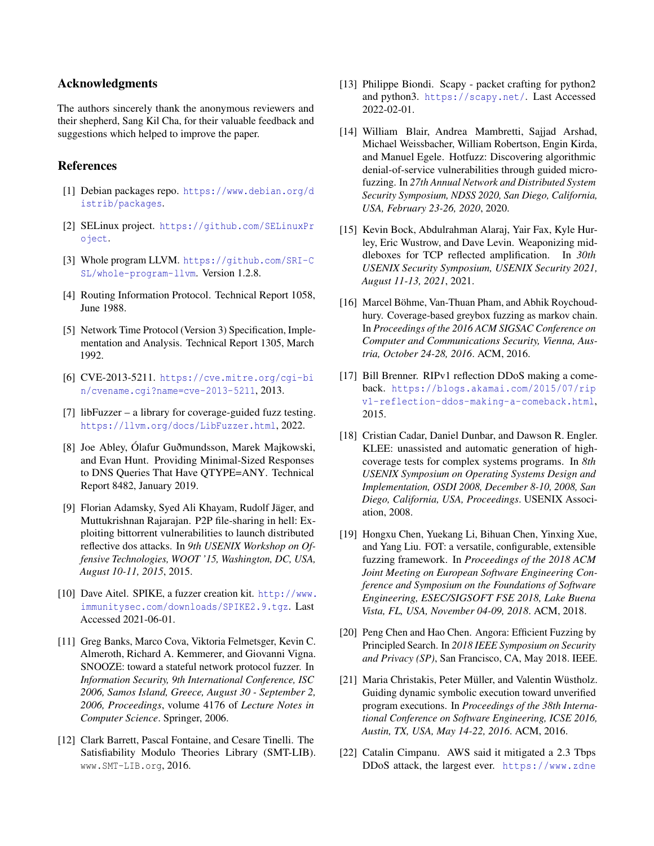### Acknowledgments

The authors sincerely thank the anonymous reviewers and their shepherd, Sang Kil Cha, for their valuable feedback and suggestions which helped to improve the paper.

### References

- <span id="page-13-14"></span>[1] Debian packages repo. [https://www.debian.org/d](https://www.debian.org/distrib/packages) [istrib/packages](https://www.debian.org/distrib/packages).
- <span id="page-13-13"></span>[2] SELinux project. [https://github.com/SELinuxPr](https://github.com/SELinuxProject) [oject](https://github.com/SELinuxProject).
- <span id="page-13-12"></span>[3] Whole program LLVM. [https://github.com/SRI-C](https://github.com/SRI-CSL/whole-program-llvm) [SL/whole-program-llvm](https://github.com/SRI-CSL/whole-program-llvm). Version 1.2.8.
- <span id="page-13-1"></span>[4] Routing Information Protocol. Technical Report 1058, June 1988.
- <span id="page-13-9"></span>[5] Network Time Protocol (Version 3) Specification, Implementation and Analysis. Technical Report 1305, March 1992.
- <span id="page-13-11"></span>[6] CVE-2013-5211. [https://cve.mitre.org/cgi-bi](https://cve.mitre.org/cgi-bin/cvename.cgi?name=cve-2013-5211) [n/cvename.cgi?name=cve-2013-5211](https://cve.mitre.org/cgi-bin/cvename.cgi?name=cve-2013-5211), 2013.
- <span id="page-13-18"></span>[7] libFuzzer – a library for coverage-guided fuzz testing. <https://llvm.org/docs/LibFuzzer.html>, 2022.
- <span id="page-13-10"></span>[8] Joe Abley, Ólafur Guðmundsson, Marek Majkowski, and Evan Hunt. Providing Minimal-Sized Responses to DNS Queries That Have QTYPE=ANY. Technical Report 8482, January 2019.
- <span id="page-13-17"></span>[9] Florian Adamsky, Syed Ali Khayam, Rudolf Jäger, and Muttukrishnan Rajarajan. P2P file-sharing in hell: Exploiting bittorrent vulnerabilities to launch distributed reflective dos attacks. In *9th USENIX Workshop on Offensive Technologies, WOOT '15, Washington, DC, USA, August 10-11, 2015*, 2015.
- <span id="page-13-20"></span>[10] Dave Aitel. SPIKE, a fuzzer creation kit. [http://www.](http://www.immunitysec.com/downloads/SPIKE2.9.tgz) [immunitysec.com/downloads/SPIKE2.9.tgz](http://www.immunitysec.com/downloads/SPIKE2.9.tgz). Last Accessed 2021-06-01.
- <span id="page-13-21"></span>[11] Greg Banks, Marco Cova, Viktoria Felmetsger, Kevin C. Almeroth, Richard A. Kemmerer, and Giovanni Vigna. SNOOZE: toward a stateful network protocol fuzzer. In *Information Security, 9th International Conference, ISC 2006, Samos Island, Greece, August 30 - September 2, 2006, Proceedings*, volume 4176 of *Lecture Notes in Computer Science*. Springer, 2006.
- <span id="page-13-15"></span>[12] Clark Barrett, Pascal Fontaine, and Cesare Tinelli. The Satisfiability Modulo Theories Library (SMT-LIB). www.SMT-LIB.org, 2016.
- <span id="page-13-16"></span>[13] Philippe Biondi. Scapy - packet crafting for python2 and python3. <https://scapy.net/>. Last Accessed 2022-02-01.
- <span id="page-13-19"></span>[14] William Blair, Andrea Mambretti, Sajjad Arshad, Michael Weissbacher, William Robertson, Engin Kirda, and Manuel Egele. Hotfuzz: Discovering algorithmic denial-of-service vulnerabilities through guided microfuzzing. In *27th Annual Network and Distributed System Security Symposium, NDSS 2020, San Diego, California, USA, February 23-26, 2020*, 2020.
- <span id="page-13-8"></span>[15] Kevin Bock, Abdulrahman Alaraj, Yair Fax, Kyle Hurley, Eric Wustrow, and Dave Levin. Weaponizing middleboxes for TCP reflected amplification. In *30th USENIX Security Symposium, USENIX Security 2021, August 11-13, 2021*, 2021.
- <span id="page-13-4"></span>[16] Marcel Böhme, Van-Thuan Pham, and Abhik Roychoudhury. Coverage-based greybox fuzzing as markov chain. In *Proceedings of the 2016 ACM SIGSAC Conference on Computer and Communications Security, Vienna, Austria, October 24-28, 2016*. ACM, 2016.
- <span id="page-13-2"></span>[17] Bill Brenner. RIPv1 reflection DDoS making a comeback. [https://blogs.akamai.com/2015/07/rip](https://blogs.akamai.com/2015/07/ripv1-reflection-ddos-making-a-comeback.html) [v1-reflection-ddos-making-a-comeback.html](https://blogs.akamai.com/2015/07/ripv1-reflection-ddos-making-a-comeback.html), 2015.
- <span id="page-13-3"></span>[18] Cristian Cadar, Daniel Dunbar, and Dawson R. Engler. KLEE: unassisted and automatic generation of highcoverage tests for complex systems programs. In *8th USENIX Symposium on Operating Systems Design and Implementation, OSDI 2008, December 8-10, 2008, San Diego, California, USA, Proceedings*. USENIX Association, 2008.
- <span id="page-13-6"></span>[19] Hongxu Chen, Yuekang Li, Bihuan Chen, Yinxing Xue, and Yang Liu. FOT: a versatile, configurable, extensible fuzzing framework. In *Proceedings of the 2018 ACM Joint Meeting on European Software Engineering Conference and Symposium on the Foundations of Software Engineering, ESEC/SIGSOFT FSE 2018, Lake Buena Vista, FL, USA, November 04-09, 2018*. ACM, 2018.
- <span id="page-13-5"></span>[20] Peng Chen and Hao Chen. Angora: Efficient Fuzzing by Principled Search. In *2018 IEEE Symposium on Security and Privacy (SP)*, San Francisco, CA, May 2018. IEEE.
- <span id="page-13-7"></span>[21] Maria Christakis, Peter Müller, and Valentin Wüstholz. Guiding dynamic symbolic execution toward unverified program executions. In *Proceedings of the 38th International Conference on Software Engineering, ICSE 2016, Austin, TX, USA, May 14-22, 2016*. ACM, 2016.
- <span id="page-13-0"></span>[22] Catalin Cimpanu. AWS said it mitigated a 2.3 Tbps DDoS attack, the largest ever. [https://www.zdne](https://www.zdnet.com/article/aws-said-it-mitigated-a-2-3-tbps-ddos-attack-the-largest-ever/)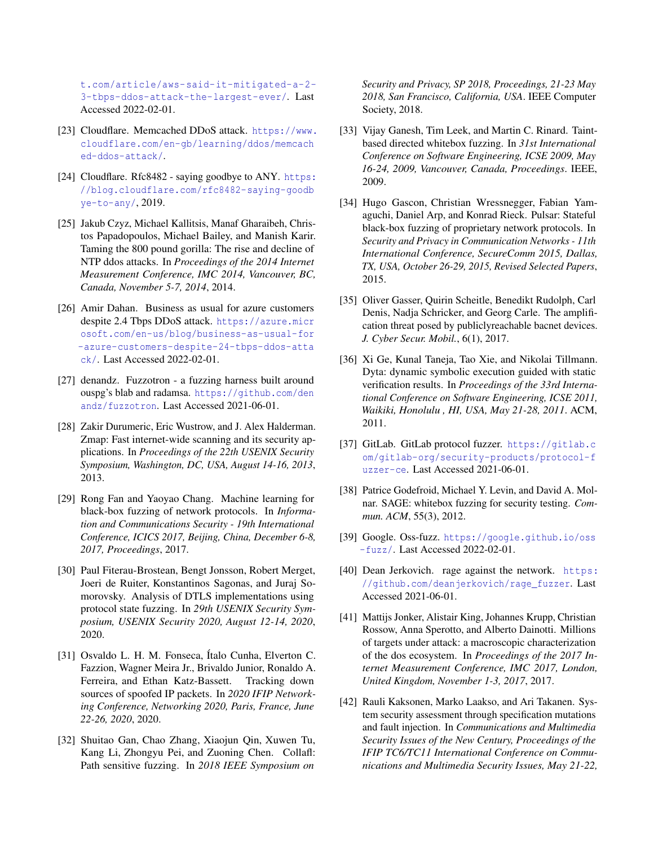[t.com/article/aws-said-it-mitigated-a-2-](https://www.zdnet.com/article/aws-said-it-mitigated-a-2-3-tbps-ddos-attack-the-largest-ever/) [3-tbps-ddos-attack-the-largest-ever/](https://www.zdnet.com/article/aws-said-it-mitigated-a-2-3-tbps-ddos-attack-the-largest-ever/). Last Accessed 2022-02-01.

- <span id="page-14-1"></span>[23] Cloudflare. Memcached DDoS attack. [https://www.](https://www.cloudflare.com/en-gb/learning/ddos/memcached-ddos-attack/) [cloudflare.com/en-gb/learning/ddos/memcach](https://www.cloudflare.com/en-gb/learning/ddos/memcached-ddos-attack/) [ed-ddos-attack/](https://www.cloudflare.com/en-gb/learning/ddos/memcached-ddos-attack/).
- <span id="page-14-6"></span>[24] Cloudflare. Rfc8482 - saying goodbye to ANY. [https:](https://blog.cloudflare.com/rfc8482-saying-goodbye-to-any/) [//blog.cloudflare.com/rfc8482-saying-goodb](https://blog.cloudflare.com/rfc8482-saying-goodbye-to-any/) [ye-to-any/](https://blog.cloudflare.com/rfc8482-saying-goodbye-to-any/), 2019.
- <span id="page-14-12"></span>[25] Jakub Czyz, Michael Kallitsis, Manaf Gharaibeh, Christos Papadopoulos, Michael Bailey, and Manish Karir. Taming the 800 pound gorilla: The rise and decline of NTP ddos attacks. In *Proceedings of the 2014 Internet Measurement Conference, IMC 2014, Vancouver, BC, Canada, November 5-7, 2014*, 2014.
- <span id="page-14-0"></span>[26] Amir Dahan. Business as usual for azure customers despite 2.4 Tbps DDoS attack. [https://azure.micr](https://azure.microsoft.com/en-us/blog/business-as-usual-for-azure-customers-despite-24-tbps-ddos-attack/) [osoft.com/en-us/blog/business-as-usual-for](https://azure.microsoft.com/en-us/blog/business-as-usual-for-azure-customers-despite-24-tbps-ddos-attack/) [-azure-customers-despite-24-tbps-ddos-atta](https://azure.microsoft.com/en-us/blog/business-as-usual-for-azure-customers-despite-24-tbps-ddos-attack/) [ck/](https://azure.microsoft.com/en-us/blog/business-as-usual-for-azure-customers-despite-24-tbps-ddos-attack/). Last Accessed 2022-02-01.
- <span id="page-14-14"></span>[27] denandz. Fuzzotron - a fuzzing harness built around ouspg's blab and radamsa. [https://github.com/den](https://github.com/denandz/fuzzotron) [andz/fuzzotron](https://github.com/denandz/fuzzotron). Last Accessed 2021-06-01.
- <span id="page-14-10"></span>[28] Zakir Durumeric, Eric Wustrow, and J. Alex Halderman. Zmap: Fast internet-wide scanning and its security applications. In *Proceedings of the 22th USENIX Security Symposium, Washington, DC, USA, August 14-16, 2013*, 2013.
- <span id="page-14-19"></span>[29] Rong Fan and Yaoyao Chang. Machine learning for black-box fuzzing of network protocols. In *Information and Communications Security - 19th International Conference, ICICS 2017, Beijing, China, December 6-8, 2017, Proceedings*, 2017.
- <span id="page-14-7"></span>[30] Paul Fiterau-Brostean, Bengt Jonsson, Robert Merget, Joeri de Ruiter, Konstantinos Sagonas, and Juraj Somorovsky. Analysis of DTLS implementations using protocol state fuzzing. In *29th USENIX Security Symposium, USENIX Security 2020, August 12-14, 2020*, 2020.
- <span id="page-14-8"></span>[31] Osvaldo L. H. M. Fonseca, Ítalo Cunha, Elverton C. Fazzion, Wagner Meira Jr., Brivaldo Junior, Ronaldo A. Ferreira, and Ethan Katz-Bassett. Tracking down sources of spoofed IP packets. In *2020 IFIP Networking Conference, Networking 2020, Paris, France, June 22-26, 2020*, 2020.
- <span id="page-14-3"></span>[32] Shuitao Gan, Chao Zhang, Xiaojun Qin, Xuwen Tu, Kang Li, Zhongyu Pei, and Zuoning Chen. Collafl: Path sensitive fuzzing. In *2018 IEEE Symposium on*

*Security and Privacy, SP 2018, Proceedings, 21-23 May 2018, San Francisco, California, USA*. IEEE Computer Society, 2018.

- <span id="page-14-4"></span>[33] Vijay Ganesh, Tim Leek, and Martin C. Rinard. Taintbased directed whitebox fuzzing. In *31st International Conference on Software Engineering, ICSE 2009, May 16-24, 2009, Vancouver, Canada, Proceedings*. IEEE, 2009.
- <span id="page-14-17"></span>[34] Hugo Gascon, Christian Wressnegger, Fabian Yamaguchi, Daniel Arp, and Konrad Rieck. Pulsar: Stateful black-box fuzzing of proprietary network protocols. In *Security and Privacy in Communication Networks - 11th International Conference, SecureComm 2015, Dallas, TX, USA, October 26-29, 2015, Revised Selected Papers*, 2015.
- <span id="page-14-11"></span>[35] Oliver Gasser, Quirin Scheitle, Benedikt Rudolph, Carl Denis, Nadja Schricker, and Georg Carle. The amplification threat posed by publiclyreachable bacnet devices. *J. Cyber Secur. Mobil.*, 6(1), 2017.
- <span id="page-14-5"></span>[36] Xi Ge, Kunal Taneja, Tao Xie, and Nikolai Tillmann. Dyta: dynamic symbolic execution guided with static verification results. In *Proceedings of the 33rd International Conference on Software Engineering, ICSE 2011, Waikiki, Honolulu , HI, USA, May 21-28, 2011*. ACM, 2011.
- <span id="page-14-15"></span>[37] GitLab. GitLab protocol fuzzer. [https://gitlab.c](https://gitlab.com/gitlab-org/security-products/protocol-fuzzer-ce) [om/gitlab-org/security-products/protocol-f](https://gitlab.com/gitlab-org/security-products/protocol-fuzzer-ce) [uzzer-ce](https://gitlab.com/gitlab-org/security-products/protocol-fuzzer-ce). Last Accessed 2021-06-01.
- <span id="page-14-2"></span>[38] Patrice Godefroid, Michael Y. Levin, and David A. Molnar. SAGE: whitebox fuzzing for security testing. *Commun. ACM*, 55(3), 2012.
- <span id="page-14-9"></span>[39] Google. Oss-fuzz. [https://google.github.io/oss](https://google.github.io/oss-fuzz/) [-fuzz/](https://google.github.io/oss-fuzz/). Last Accessed 2022-02-01.
- <span id="page-14-16"></span>[40] Dean Jerkovich. rage against the network. [https:](https://github.com/deanjerkovich/rage_fuzzer) [//github.com/deanjerkovich/rage\\_fuzzer](https://github.com/deanjerkovich/rage_fuzzer). Last Accessed 2021-06-01.
- <span id="page-14-13"></span>[41] Mattijs Jonker, Alistair King, Johannes Krupp, Christian Rossow, Anna Sperotto, and Alberto Dainotti. Millions of targets under attack: a macroscopic characterization of the dos ecosystem. In *Proceedings of the 2017 Internet Measurement Conference, IMC 2017, London, United Kingdom, November 1-3, 2017*, 2017.
- <span id="page-14-18"></span>[42] Rauli Kaksonen, Marko Laakso, and Ari Takanen. System security assessment through specification mutations and fault injection. In *Communications and Multimedia Security Issues of the New Century, Proceedings of the IFIP TC6/TC11 International Conference on Communications and Multimedia Security Issues, May 21-22,*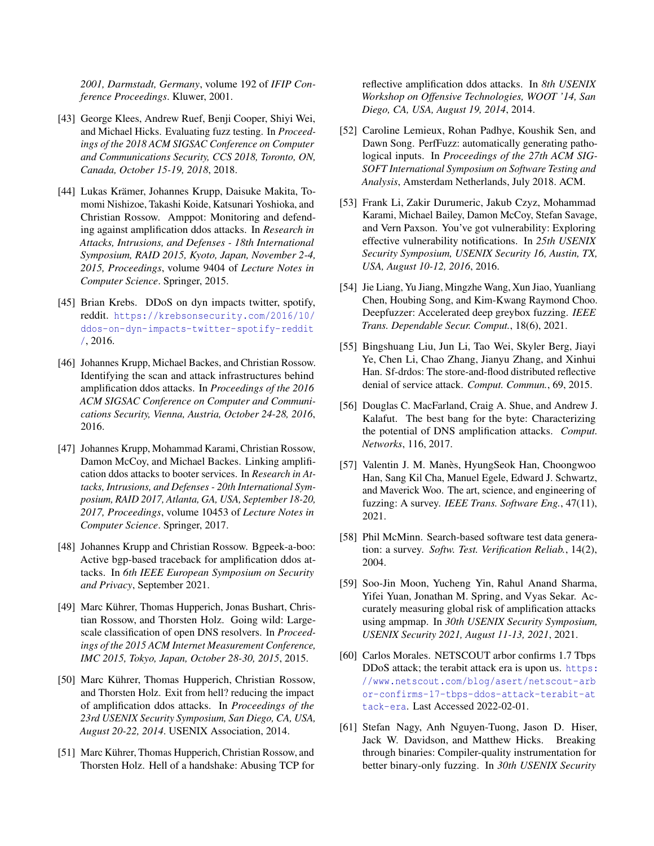*2001, Darmstadt, Germany*, volume 192 of *IFIP Conference Proceedings*. Kluwer, 2001.

- <span id="page-15-9"></span>[43] George Klees, Andrew Ruef, Benji Cooper, Shiyi Wei, and Michael Hicks. Evaluating fuzz testing. In *Proceedings of the 2018 ACM SIGSAC Conference on Computer and Communications Security, CCS 2018, Toronto, ON, Canada, October 15-19, 2018*, 2018.
- <span id="page-15-4"></span>[44] Lukas Krämer, Johannes Krupp, Daisuke Makita, Tomomi Nishizoe, Takashi Koide, Katsunari Yoshioka, and Christian Rossow. Amppot: Monitoring and defending against amplification ddos attacks. In *Research in Attacks, Intrusions, and Defenses - 18th International Symposium, RAID 2015, Kyoto, Japan, November 2-4, 2015, Proceedings*, volume 9404 of *Lecture Notes in Computer Science*. Springer, 2015.
- <span id="page-15-0"></span>[45] Brian Krebs. DDoS on dyn impacts twitter, spotify, reddit. [https://krebsonsecurity.com/2016/10/](https://krebsonsecurity.com/2016/10/ddos-on-dyn-impacts-twitter-spotify-reddit/) [ddos-on-dyn-impacts-twitter-spotify-reddit](https://krebsonsecurity.com/2016/10/ddos-on-dyn-impacts-twitter-spotify-reddit/) [/](https://krebsonsecurity.com/2016/10/ddos-on-dyn-impacts-twitter-spotify-reddit/), 2016.
- <span id="page-15-10"></span>[46] Johannes Krupp, Michael Backes, and Christian Rossow. Identifying the scan and attack infrastructures behind amplification ddos attacks. In *Proceedings of the 2016 ACM SIGSAC Conference on Computer and Communications Security, Vienna, Austria, October 24-28, 2016*, 2016.
- <span id="page-15-17"></span>[47] Johannes Krupp, Mohammad Karami, Christian Rossow, Damon McCoy, and Michael Backes. Linking amplification ddos attacks to booter services. In *Research in Attacks, Intrusions, and Defenses - 20th International Symposium, RAID 2017, Atlanta, GA, USA, September 18-20, 2017, Proceedings*, volume 10453 of *Lecture Notes in Computer Science*. Springer, 2017.
- <span id="page-15-11"></span>[48] Johannes Krupp and Christian Rossow. Bgpeek-a-boo: Active bgp-based traceback for amplification ddos attacks. In *6th IEEE European Symposium on Security and Privacy*, September 2021.
- <span id="page-15-15"></span>[49] Marc Kührer, Thomas Hupperich, Jonas Bushart, Christian Rossow, and Thorsten Holz. Going wild: Largescale classification of open DNS resolvers. In *Proceedings of the 2015 ACM Internet Measurement Conference, IMC 2015, Tokyo, Japan, October 28-30, 2015*, 2015.
- <span id="page-15-3"></span>[50] Marc Kührer, Thomas Hupperich, Christian Rossow, and Thorsten Holz. Exit from hell? reducing the impact of amplification ddos attacks. In *Proceedings of the 23rd USENIX Security Symposium, San Diego, CA, USA, August 20-22, 2014*. USENIX Association, 2014.
- <span id="page-15-8"></span>[51] Marc Kührer, Thomas Hupperich, Christian Rossow, and Thorsten Holz. Hell of a handshake: Abusing TCP for

reflective amplification ddos attacks. In *8th USENIX Workshop on Offensive Technologies, WOOT '14, San Diego, CA, USA, August 19, 2014*, 2014.

- <span id="page-15-6"></span>[52] Caroline Lemieux, Rohan Padhye, Koushik Sen, and Dawn Song. PerfFuzz: automatically generating pathological inputs. In *Proceedings of the 27th ACM SIG-SOFT International Symposium on Software Testing and Analysis*, Amsterdam Netherlands, July 2018. ACM.
- <span id="page-15-16"></span>[53] Frank Li, Zakir Durumeric, Jakub Czyz, Mohammad Karami, Michael Bailey, Damon McCoy, Stefan Savage, and Vern Paxson. You've got vulnerability: Exploring effective vulnerability notifications. In *25th USENIX Security Symposium, USENIX Security 16, Austin, TX, USA, August 10-12, 2016*, 2016.
- <span id="page-15-18"></span>[54] Jie Liang, Yu Jiang, Mingzhe Wang, Xun Jiao, Yuanliang Chen, Houbing Song, and Kim-Kwang Raymond Choo. Deepfuzzer: Accelerated deep greybox fuzzing. *IEEE Trans. Dependable Secur. Comput.*, 18(6), 2021.
- <span id="page-15-14"></span>[55] Bingshuang Liu, Jun Li, Tao Wei, Skyler Berg, Jiayi Ye, Chen Li, Chao Zhang, Jianyu Zhang, and Xinhui Han. Sf-drdos: The store-and-flood distributed reflective denial of service attack. *Comput. Commun.*, 69, 2015.
- <span id="page-15-13"></span>[56] Douglas C. MacFarland, Craig A. Shue, and Andrew J. Kalafut. The best bang for the byte: Characterizing the potential of DNS amplification attacks. *Comput. Networks*, 116, 2017.
- <span id="page-15-5"></span>[57] Valentin J. M. Manès, HyungSeok Han, Choongwoo Han, Sang Kil Cha, Manuel Egele, Edward J. Schwartz, and Maverick Woo. The art, science, and engineering of fuzzing: A survey. *IEEE Trans. Software Eng.*, 47(11), 2021.
- <span id="page-15-7"></span>[58] Phil McMinn. Search-based software test data generation: a survey. *Softw. Test. Verification Reliab.*, 14(2), 2004.
- <span id="page-15-2"></span>[59] Soo-Jin Moon, Yucheng Yin, Rahul Anand Sharma, Yifei Yuan, Jonathan M. Spring, and Vyas Sekar. Accurately measuring global risk of amplification attacks using ampmap. In *30th USENIX Security Symposium, USENIX Security 2021, August 11-13, 2021*, 2021.
- <span id="page-15-1"></span>[60] Carlos Morales. NETSCOUT arbor confirms 1.7 Tbps DDoS attack; the terabit attack era is upon us. [https:](https://www.netscout.com/blog/asert/netscout-arbor-confirms-17-tbps-ddos-attack-terabit-attack-era) [//www.netscout.com/blog/asert/netscout-arb](https://www.netscout.com/blog/asert/netscout-arbor-confirms-17-tbps-ddos-attack-terabit-attack-era) [or-confirms-17-tbps-ddos-attack-terabit-at](https://www.netscout.com/blog/asert/netscout-arbor-confirms-17-tbps-ddos-attack-terabit-attack-era) [tack-era](https://www.netscout.com/blog/asert/netscout-arbor-confirms-17-tbps-ddos-attack-terabit-attack-era). Last Accessed 2022-02-01.
- <span id="page-15-12"></span>[61] Stefan Nagy, Anh Nguyen-Tuong, Jason D. Hiser, Jack W. Davidson, and Matthew Hicks. Breaking through binaries: Compiler-quality instrumentation for better binary-only fuzzing. In *30th USENIX Security*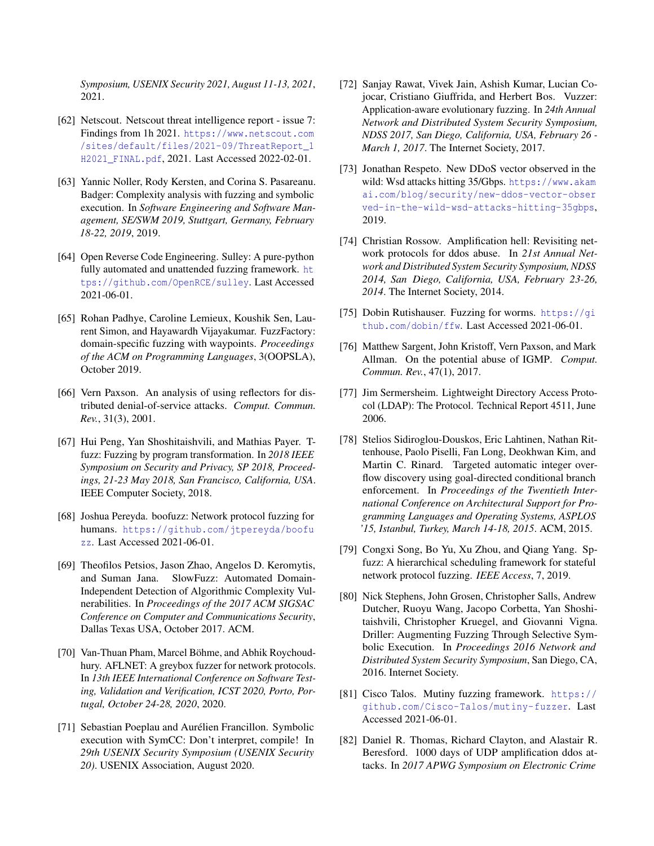*Symposium, USENIX Security 2021, August 11-13, 2021*, 2021.

- <span id="page-16-1"></span>[62] Netscout. Netscout threat intelligence report - issue 7: Findings from 1h 2021. [https://www.netscout.com](https://www.netscout.com/sites/default/files/2021-09/ThreatReport_1H2021_FINAL.pdf) [/sites/default/files/2021-09/ThreatReport\\_1](https://www.netscout.com/sites/default/files/2021-09/ThreatReport_1H2021_FINAL.pdf) [H2021\\_FINAL.pdf](https://www.netscout.com/sites/default/files/2021-09/ThreatReport_1H2021_FINAL.pdf), 2021. Last Accessed 2022-02-01.
- <span id="page-16-12"></span>[63] Yannic Noller, Rody Kersten, and Corina S. Pasareanu. Badger: Complexity analysis with fuzzing and symbolic execution. In *Software Engineering and Software Management, SE/SWM 2019, Stuttgart, Germany, February 18-22, 2019*, 2019.
- <span id="page-16-15"></span>[64] Open Reverse Code Engineering. Sulley: A pure-python fully automated and unattended fuzzing framework. [ht](https://github.com/OpenRCE/sulley) [tps://github.com/OpenRCE/sulley](https://github.com/OpenRCE/sulley). Last Accessed 2021-06-01.
- <span id="page-16-4"></span>[65] Rohan Padhye, Caroline Lemieux, Koushik Sen, Laurent Simon, and Hayawardh Vijayakumar. FuzzFactory: domain-specific fuzzing with waypoints. *Proceedings of the ACM on Programming Languages*, 3(OOPSLA), October 2019.
- <span id="page-16-10"></span>[66] Vern Paxson. An analysis of using reflectors for distributed denial-of-service attacks. *Comput. Commun. Rev.*, 31(3), 2001.
- <span id="page-16-14"></span>[67] Hui Peng, Yan Shoshitaishvili, and Mathias Payer. Tfuzz: Fuzzing by program transformation. In *2018 IEEE Symposium on Security and Privacy, SP 2018, Proceedings, 21-23 May 2018, San Francisco, California, USA*. IEEE Computer Society, 2018.
- <span id="page-16-18"></span>[68] Joshua Pereyda. boofuzz: Network protocol fuzzing for humans. [https://github.com/jtpereyda/boofu](https://github.com/jtpereyda/boofuzz) [zz](https://github.com/jtpereyda/boofuzz). Last Accessed 2021-06-01.
- <span id="page-16-3"></span>[69] Theofilos Petsios, Jason Zhao, Angelos D. Keromytis, and Suman Jana. SlowFuzz: Automated Domain-Independent Detection of Algorithmic Complexity Vulnerabilities. In *Proceedings of the 2017 ACM SIGSAC Conference on Computer and Communications Security*, Dallas Texas USA, October 2017. ACM.
- <span id="page-16-20"></span>[70] Van-Thuan Pham, Marcel Böhme, and Abhik Roychoudhury. AFLNET: A greybox fuzzer for network protocols. In *13th IEEE International Conference on Software Testing, Validation and Verification, ICST 2020, Porto, Portugal, October 24-28, 2020*, 2020.
- <span id="page-16-8"></span>[71] Sebastian Poeplau and Aurélien Francillon. Symbolic execution with SymCC: Don't interpret, compile! In *29th USENIX Security Symposium (USENIX Security 20)*. USENIX Association, August 2020.
- <span id="page-16-5"></span>[72] Sanjay Rawat, Vivek Jain, Ashish Kumar, Lucian Cojocar, Cristiano Giuffrida, and Herbert Bos. Vuzzer: Application-aware evolutionary fuzzing. In *24th Annual Network and Distributed System Security Symposium, NDSS 2017, San Diego, California, USA, February 26 - March 1, 2017*. The Internet Society, 2017.
- <span id="page-16-7"></span>[73] Jonathan Respeto. New DDoS vector observed in the wild: Wsd attacks hitting 35/Gbps. [https://www.akam](https://www.akamai.com/blog/security/new-ddos-vector-observed-in-the-wild-wsd-attacks-hitting-35gbps) [ai.com/blog/security/new-ddos-vector-obser](https://www.akamai.com/blog/security/new-ddos-vector-observed-in-the-wild-wsd-attacks-hitting-35gbps) [ved-in-the-wild-wsd-attacks-hitting-35gbps](https://www.akamai.com/blog/security/new-ddos-vector-observed-in-the-wild-wsd-attacks-hitting-35gbps), 2019.
- <span id="page-16-0"></span>[74] Christian Rossow. Amplification hell: Revisiting network protocols for ddos abuse. In *21st Annual Network and Distributed System Security Symposium, NDSS 2014, San Diego, California, USA, February 23-26, 2014*. The Internet Society, 2014.
- <span id="page-16-16"></span>[75] Dobin Rutishauser. Fuzzing for worms. [https://gi](https://github.com/dobin/ffw) [thub.com/dobin/ffw](https://github.com/dobin/ffw). Last Accessed 2021-06-01.
- <span id="page-16-11"></span>[76] Matthew Sargent, John Kristoff, Vern Paxson, and Mark Allman. On the potential abuse of IGMP. *Comput. Commun. Rev.*, 47(1), 2017.
- <span id="page-16-9"></span>[77] Jim Sermersheim. Lightweight Directory Access Protocol (LDAP): The Protocol. Technical Report 4511, June 2006.
- <span id="page-16-6"></span>[78] Stelios Sidiroglou-Douskos, Eric Lahtinen, Nathan Rittenhouse, Paolo Piselli, Fan Long, Deokhwan Kim, and Martin C. Rinard. Targeted automatic integer overflow discovery using goal-directed conditional branch enforcement. In *Proceedings of the Twentieth International Conference on Architectural Support for Programming Languages and Operating Systems, ASPLOS '15, Istanbul, Turkey, March 14-18, 2015*. ACM, 2015.
- <span id="page-16-19"></span>[79] Congxi Song, Bo Yu, Xu Zhou, and Qiang Yang. Spfuzz: A hierarchical scheduling framework for stateful network protocol fuzzing. *IEEE Access*, 7, 2019.
- <span id="page-16-13"></span>[80] Nick Stephens, John Grosen, Christopher Salls, Andrew Dutcher, Ruoyu Wang, Jacopo Corbetta, Yan Shoshitaishvili, Christopher Kruegel, and Giovanni Vigna. Driller: Augmenting Fuzzing Through Selective Symbolic Execution. In *Proceedings 2016 Network and Distributed System Security Symposium*, San Diego, CA, 2016. Internet Society.
- <span id="page-16-17"></span>[81] Cisco Talos. Mutiny fuzzing framework. [https://](https://github.com/Cisco-Talos/mutiny-fuzzer) [github.com/Cisco-Talos/mutiny-fuzzer](https://github.com/Cisco-Talos/mutiny-fuzzer). Last Accessed 2021-06-01.
- <span id="page-16-2"></span>[82] Daniel R. Thomas, Richard Clayton, and Alastair R. Beresford. 1000 days of UDP amplification ddos attacks. In *2017 APWG Symposium on Electronic Crime*